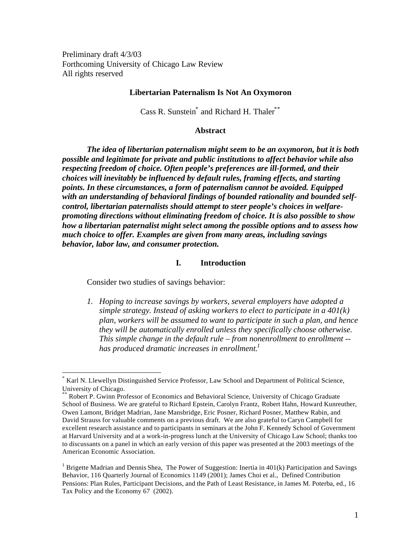Preliminary draft 4/3/03 Forthcoming University of Chicago Law Review All rights reserved

#### **Libertarian Paternalism Is Not An Oxymoron**

Cass R. Sunstein<sup>\*</sup> and Richard H. Thaler<sup>\*\*</sup>

#### **Abstract**

*The idea of libertarian paternalism might seem to be an oxymoron, but it is both possible and legitimate for private and public institutions to affect behavior while also respecting freedom of choice. Often people's preferences are ill-formed, and their choices will inevitably be influenced by default rules, framing effects, and starting points. In these circumstances, a form of paternalism cannot be avoided. Equipped with an understanding of behavioral findings of bounded rationality and bounded selfcontrol, libertarian paternalists should attempt to steer people's choices in welfarepromoting directions without eliminating freedom of choice. It is also possible to show how a libertarian paternalist might select among the possible options and to assess how much choice to offer. Examples are given from many areas, including savings behavior, labor law, and consumer protection.*

#### **I. Introduction**

Consider two studies of savings behavior:

 $\overline{a}$ 

*1. Hoping to increase savings by workers, several employers have adopted a simple strategy. Instead of asking workers to elect to participate in a 401(k) plan, workers will be assumed to want to participate in such a plan, and hence they will be automatically enrolled unless they specifically choose otherwise. This simple change in the default rule – from nonenrollment to enrollment - has produced dramatic increases in enrollment.<sup>1</sup>*

<sup>\*</sup> Karl N. Llewellyn Distinguished Service Professor, Law School and Department of Political Science, University of Chicago.

Robert P. Gwinn Professor of Economics and Behavioral Science, University of Chicago Graduate School of Business. We are grateful to Richard Epstein, Carolyn Frantz, Robert Hahn, Howard Kunreuther, Owen Lamont, Bridget Madrian, Jane Mansbridge, Eric Posner, Richard Posner, Matthew Rabin, and David Strauss for valuable comments on a previous draft. We are also grateful to Caryn Campbell for excellent research assistance and to participants in seminars at the John F. Kennedy School of Government at Harvard University and at a work-in-progress lunch at the University of Chicago Law School; thanks too to discussants on a panel in which an early version of this paper was presented at the 2003 meetings of the American Economic Association.

<sup>&</sup>lt;sup>1</sup> Brigette Madrian and Dennis Shea, The Power of Suggestion: Inertia in  $401(k)$  Participation and Savings Behavior, 116 Quarterly Journal of Economics 1149 (2001); James Choi et al., Defined Contribution Pensions: Plan Rules, Participant Decisions, and the Path of Least Resistance, in James M. Poterba, ed., 16 Tax Policy and the Economy 67 (2002).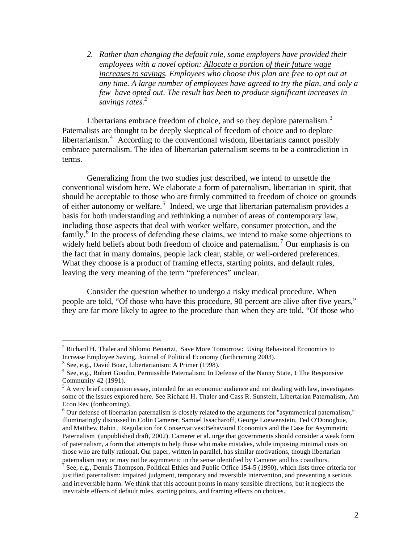*2. Rather than changing the default rule, some employers have provided their employees with a novel option: Allocate a portion of their future wage increases to savings. Employees who choose this plan are free to opt out at any time. A large number of employees have agreed to try the plan, and only a few have opted out. The result has been to produce significant increases in savings rates.<sup>2</sup>*

Libertarians embrace freedom of choice, and so they deplore paternalism.<sup>3</sup> Paternalists are thought to be deeply skeptical of freedom of choice and to deplore libertarianism.<sup>4</sup> According to the conventional wisdom, libertarians cannot possibly embrace paternalism. The idea of libertarian paternalism seems to be a contradiction in terms.

Generalizing from the two studies just described, we intend to unsettle the conventional wisdom here. We elaborate a form of paternalism, libertarian in spirit, that should be acceptable to those who are firmly committed to freedom of choice on grounds of either autonomy or welfare.<sup>5</sup> Indeed, we urge that libertarian paternalism provides a basis for both understanding and rethinking a number of areas of contemporary law, including those aspects that deal with worker welfare, consumer protection, and the family.<sup>6</sup> In the process of defending these claims, we intend to make some objections to widely held beliefs about both freedom of choice and paternalism.<sup>7</sup> Our emphasis is on the fact that in many domains, people lack clear, stable, or well-ordered preferences. What they choose is a product of framing effects, starting points, and default rules, leaving the very meaning of the term "preferences" unclear.

Consider the question whether to undergo a risky medical procedure. When people are told, "Of those who have this procedure, 90 percent are alive after five years," they are far more likely to agree to the procedure than when they are told, "Of those who

<sup>2</sup> Richard H. Thaler and Shlomo Benartzi, Save More Tomorrow: Using Behavioral Economics to Increase Employee Saving, Journal of Political Economy (forthcoming 2003).

<sup>3</sup> See, e.g., David Boaz, Libertarianism: A Primer (1998).

<sup>&</sup>lt;sup>4</sup> See, e.g., Robert Goodin, Permissible Paternalism: In Defense of the Nanny State, 1 The Responsive Community 42 (1991).

 $<sup>5</sup>$  A very brief companion essay, intended for an economic audience and not dealing with law, investigates</sup> some of the issues explored here. See Richard H. Thaler and Cass R. Sunstein, Libertarian Paternalism, Am Econ Rev (forthcoming).

 $6$  Our defense of libertarian paternalism is closely related to the arguments for "asymmetrical paternalism," illuminatingly discussed in Colin Camerer, Samuel Issacharoff, George Loewenstein, Ted O'Donoghue, and Matthew Rabin, Regulation for Conservatives:Behavioral Economics and the Case for Asymmetric Paternalism (unpublished draft, 2002). Camerer et al. urge that governments should consider a weak form of paternalism, a form that attempts to help those who make mistakes, while imposing minimal costs on those who are fully rational. Our paper, written in parallel, has similar motivations, though libertarian paternalism may or may not be asymmetric in the sense identified by Camerer and his coauthors.

<sup>7</sup> See, e.g., Dennis Thompson, Political Ethics and Public Office 154-5 (1990), which lists three criteria for justified paternalism: impaired judgment, temporary and reversible intervention, and preventing a serious and irreversible harm. We think that this account points in many sensible directions, but it neglects the inevitable effects of default rules, starting points, and framing effects on choices.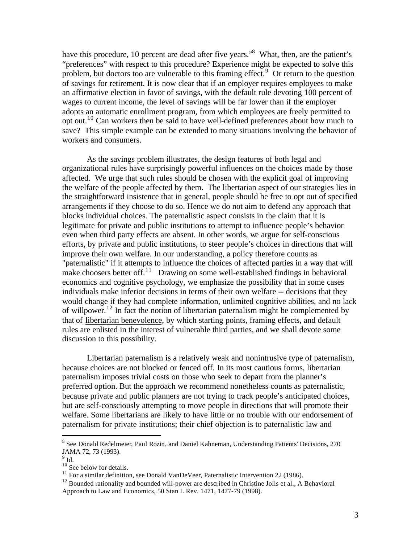have this procedure, 10 percent are dead after five years.<sup>8</sup> What, then, are the patient's "preferences" with respect to this procedure? Experience might be expected to solve this problem, but doctors too are vulnerable to this framing effect.<sup>9</sup> Or return to the question of savings for retirement. It is now clear that if an employer requires employees to make an affirmative election in favor of savings, with the default rule devoting 100 percent of wages to current income, the level of savings will be far lower than if the employer adopts an automatic enrollment program, from which employees are freely permitted to opt out.<sup>10</sup> Can workers then be said to have well-defined preferences about how much to save? This simple example can be extended to many situations involving the behavior of workers and consumers.

As the savings problem illustrates, the design features of both legal and organizational rules have surprisingly powerful influences on the choices made by those affected. We urge that such rules should be chosen with the explicit goal of improving the welfare of the people affected by them. The libertarian aspect of our strategies lies in the straightforward insistence that in general, people should be free to opt out of specified arrangements if they choose to do so. Hence we do not aim to defend any approach that blocks individual choices. The paternalistic aspect consists in the claim that it is legitimate for private and public institutions to attempt to influence people's behavior even when third party effects are absent. In other words, we argue for self-conscious efforts, by private and public institutions, to steer people's choices in directions that will improve their own welfare. In our understanding, a policy therefore counts as "paternalistic" if it attempts to influence the choices of affected parties in a way that will make choosers better off.<sup>11</sup> Drawing on some well-established findings in behavioral economics and cognitive psychology, we emphasize the possibility that in some cases individuals make inferior decisions in terms of their own welfare -- decisions that they would change if they had complete information, unlimited cognitive abilities, and no lack of willpower.<sup>12</sup> In fact the notion of libertarian paternalism might be complemented by that of libertarian benevolence, by which starting points, framing effects, and default rules are enlisted in the interest of vulnerable third parties, and we shall devote some discussion to this possibility.

Libertarian paternalism is a relatively weak and nonintrusive type of paternalism, because choices are not blocked or fenced off. In its most cautious forms, libertarian paternalism imposes trivial costs on those who seek to depart from the planner's preferred option. But the approach we recommend nonetheless counts as paternalistic, because private and public planners are not trying to track people's anticipated choices, but are self-consciously attempting to move people in directions that will promote their welfare. Some libertarians are likely to have little or no trouble with our endorsement of paternalism for private institutions; their chief objection is to paternalistic law and

 $^9$  Id.

<sup>&</sup>lt;sup>8</sup> See Donald Redelmeier, Paul Rozin, and Daniel Kahneman, Understanding Patients' Decisions, 270 JAMA 72, 73 (1993).

 $10^{10}$  See below for details.

 $11$  For a similar definition, see Donald VanDeVeer, Paternalistic Intervention 22 (1986).

 $12$  Bounded rationality and bounded will-power are described in Christine Jolls et al., A Behavioral Approach to Law and Economics, 50 Stan L Rev. 1471, 1477-79 (1998).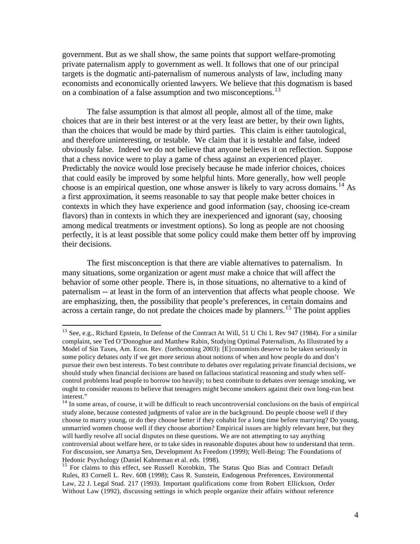government. But as we shall show, the same points that support welfare-promoting private paternalism apply to government as well. It follows that one of our principal targets is the dogmatic anti-paternalism of numerous analysts of law, including many economists and economically oriented lawyers. We believe that this dogmatism is based on a combination of a false assumption and two misconceptions.<sup>13</sup>

The false assumption is that almost all people, almost all of the time, make choices that are in their best interest or at the very least are better, by their own lights, than the choices that would be made by third parties. This claim is either tautological, and therefore uninteresting, or testable. We claim that it is testable and false, indeed obviously false. Indeed we do not believe that anyone believes it on reflection. Suppose that a chess novice were to play a game of chess against an experienced player. Predictably the novice would lose precisely because he made inferior choices, choices that could easily be improved by some helpful hints. More generally, how well people choose is an empirical question, one whose answer is likely to vary across domains.<sup>14</sup> As a first approximation, it seems reasonable to say that people make better choices in contexts in which they have experience and good information (say, choosing ice-cream flavors) than in contexts in which they are inexperienced and ignorant (say, choosing among medical treatments or investment options). So long as people are not choosing perfectly, it is at least possible that some policy could make them better off by improving their decisions.

The first misconception is that there are viable alternatives to paternalism. In many situations, some organization or agent *must* make a choice that will affect the behavior of some other people. There is, in those situations, no alternative to a kind of paternalism -- at least in the form of an intervention that affects what people choose. We are emphasizing, then, the possibility that people's preferences, in certain domains and across a certain range, do not predate the choices made by planners.<sup>15</sup> The point applies

<sup>&</sup>lt;sup>13</sup> See, e.g., Richard Epstein, In Defense of the Contract At Will, 51 U Chi L Rev 947 (1984). For a similar complaint, see Ted O'Donoghue and Matthew Rabin, Studying Optimal Paternalism, As Illustrated by a Model of Sin Taxes, Am. Econ. Rev. (forthcoming 2003): [E]conomists deserve to be taken seriously in some policy debates only if we get more serious about notions of when and how people do and don't pursue their own best interests. To best contribute to debates over regulating private financial decisions, we should study when financial decisions are based on fallacious statistical reasoning and study when selfcontrol problems lead people to borrow too heavily; to best contribute to debates over teenage smoking, we ought to consider reasons to believe that teenagers might become smokers against their own long-run best interest."

<sup>&</sup>lt;sup>14</sup> In some areas, of course, it will be difficult to reach uncontroversial conclusions on the basis of empirical study alone, because contested judgments of value are in the background. Do people choose well if they choose to marry young, or do they choose better if they cohabit for a long time before marrying? Do young, unmarried women choose well if they choose abortion? Empirical issues are highly relevant here, but they will hardly resolve all social disputes on these questions. We are not attempting to say anything controversial about welfare here, or to take sides in reasonable disputes about how to understand that term. For discussion, see Amartya Sen, Development As Freedom (1999); Well-Being: The Foundations of Hedonic Psychology (Daniel Kahneman et al. eds. 1998).

<sup>&</sup>lt;sup>15</sup> For claims to this effect, see Russell Korobkin, The Status Quo Bias and Contract Default Rules, 83 Cornell L. Rev. 608 (1998); Cass R. Sunstein, Endogenous Preferences, Environmental Law, 22 J. Legal Stud. 217 (1993). Important qualifications come from Robert Ellickson, Order Without Law (1992), discussing settings in which people organize their affairs without reference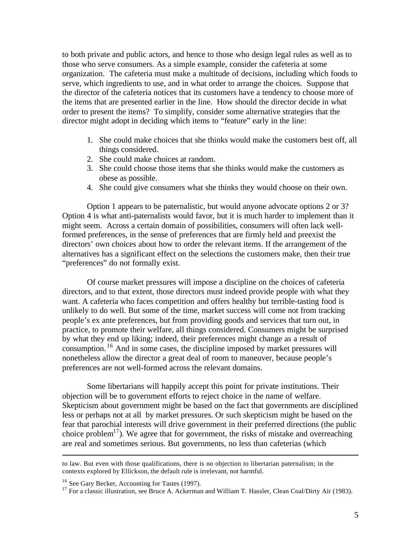to both private and public actors, and hence to those who design legal rules as well as to those who serve consumers. As a simple example, consider the cafeteria at some organization. The cafeteria must make a multitude of decisions, including which foods to serve, which ingredients to use, and in what order to arrange the choices. Suppose that the director of the cafeteria notices that its customers have a tendency to choose more of the items that are presented earlier in the line. How should the director decide in what order to present the items? To simplify, consider some alternative strategies that the director might adopt in deciding which items to "feature" early in the line:

- 1. She could make choices that she thinks would make the customers best off, all things considered.
- 2. She could make choices at random.
- 3. She could choose those items that she thinks would make the customers as obese as possible.
- 4. She could give consumers what she thinks they would choose on their own.

Option 1 appears to be paternalistic, but would anyone advocate options 2 or 3? Option 4 is what anti-paternalists would favor, but it is much harder to implement than it might seem. Across a certain domain of possibilities, consumers will often lack wellformed preferences, in the sense of preferences that are firmly held and preexist the directors' own choices about how to order the relevant items. If the arrangement of the alternatives has a significant effect on the selections the customers make, then their true "preferences" do not formally exist.

Of course market pressures will impose a discipline on the choices of cafeteria directors, and to that extent, those directors must indeed provide people with what they want. A cafeteria who faces competition and offers healthy but terrible-tasting food is unlikely to do well. But some of the time, market success will come not from tracking people's ex ante preferences, but from providing goods and services that turn out, in practice, to promote their welfare, all things considered. Consumers might be surprised by what they end up liking; indeed, their preferences might change as a result of consumption. <sup>16</sup> And in some cases, the discipline imposed by market pressures will nonetheless allow the director a great deal of room to maneuver, because people's preferences are not well-formed across the relevant domains.

Some libertarians will happily accept this point for private institutions. Their objection will be to government efforts to reject choice in the name of welfare. Skepticism about government might be based on the fact that governments are disciplined less or perhaps not at all by market pressures. Or such skepticism might be based on the fear that parochial interests will drive government in their preferred directions (the public choice problem<sup>17</sup>). We agree that for government, the risks of mistake and overreaching are real and sometimes serious. But governments, no less than cafeterias (which

to law. But even with those qualifications, there is no objection to libertarian paternalism; in the contexts explored by Ellickson, the default rule is irrelevant, not harmful.

<sup>16</sup> See Gary Becker, Accounting for Tastes (1997).

<sup>&</sup>lt;sup>17</sup> For a classic illustration, see Bruce A. Ackerman and William T. Hassler, Clean Coal/Dirty Air (1983).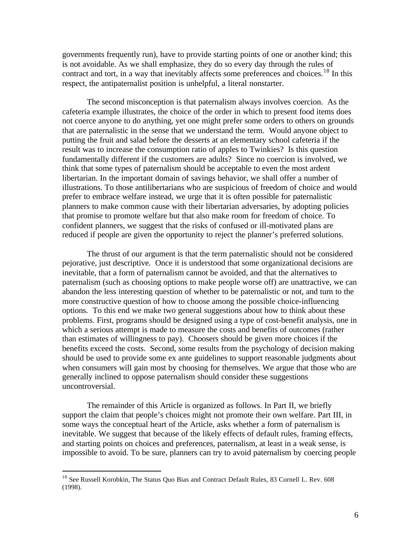governments frequently run), have to provide starting points of one or another kind; this is not avoidable. As we shall emphasize, they do so every day through the rules of contract and tort, in a way that inevitably affects some preferences and choices.<sup>18</sup> In this respect, the antipaternalist position is unhelpful, a literal nonstarter.

The second misconception is that paternalism always involves coercion. As the cafeteria example illustrates, the choice of the order in which to present food items does not coerce anyone to do anything, yet one might prefer some orders to others on grounds that are paternalistic in the sense that we understand the term. Would anyone object to putting the fruit and salad before the desserts at an elementary school cafeteria if the result was to increase the consumption ratio of apples to Twinkies? Is this question fundamentally different if the customers are adults? Since no coercion is involved, we think that some types of paternalism should be acceptable to even the most ardent libertarian. In the important domain of savings behavior, we shall offer a number of illustrations. To those antilibertarians who are suspicious of freedom of choice and would prefer to embrace welfare instead, we urge that it is often possible for paternalistic planners to make common cause with their libertarian adversaries, by adopting policies that promise to promote welfare but that also make room for freedom of choice. To confident planners, we suggest that the risks of confused or ill-motivated plans are reduced if people are given the opportunity to reject the planner's preferred solutions.

The thrust of our argument is that the term paternalistic should not be considered pejorative, just descriptive. Once it is understood that some organizational decisions are inevitable, that a form of paternalism cannot be avoided, and that the alternatives to paternalism (such as choosing options to make people worse off) are unattractive, we can abandon the less interesting question of whether to be paternalistic or not, and turn to the more constructive question of how to choose among the possible choice-influencing options. To this end we make two general suggestions about how to think about these problems. First, programs should be designed using a type of cost-benefit analysis, one in which a serious attempt is made to measure the costs and benefits of outcomes (rather than estimates of willingness to pay). Choosers should be given more choices if the benefits exceed the costs. Second, some results from the psychology of decision making should be used to provide some ex ante guidelines to support reasonable judgments about when consumers will gain most by choosing for themselves. We argue that those who are generally inclined to oppose paternalism should consider these suggestions uncontroversial.

The remainder of this Article is organized as follows. In Part II, we briefly support the claim that people's choices might not promote their own welfare. Part III, in some ways the conceptual heart of the Article, asks whether a form of paternalism is inevitable. We suggest that because of the likely effects of default rules, framing effects, and starting points on choices and preferences, paternalism, at least in a weak sense, is impossible to avoid. To be sure, planners can try to avoid paternalism by coercing people

<sup>&</sup>lt;sup>18</sup> See Russell Korobkin, The Status Quo Bias and Contract Default Rules, 83 Cornell L. Rev. 608 (1998).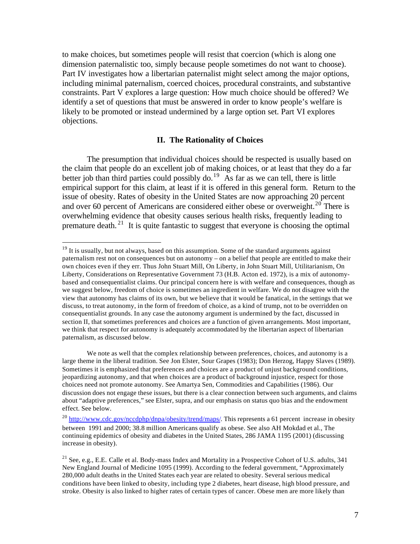to make choices, but sometimes people will resist that coercion (which is along one dimension paternalistic too, simply because people sometimes do not want to choose). Part IV investigates how a libertarian paternalist might select among the major options, including minimal paternalism, coerced choices, procedural constraints, and substantive constraints. Part V explores a large question: How much choice should be offered? We identify a set of questions that must be answered in order to know people's welfare is likely to be promoted or instead undermined by a large option set. Part VI explores objections.

### **II. The Rationality of Choices**

The presumption that individual choices should be respected is usually based on the claim that people do an excellent job of making choices, or at least that they do a far better job than third parties could possibly do.<sup>19</sup> As far as we can tell, there is little empirical support for this claim, at least if it is offered in this general form. Return to the issue of obesity. Rates of obesity in the United States are now approaching 20 percent and over 60 percent of Americans are considered either obese or overweight.<sup>20</sup> There is overwhelming evidence that obesity causes serious health risks, frequently leading to premature death.<sup>21</sup> It is quite fantastic to suggest that everyone is choosing the optimal

 $19$  It is usually, but not always, based on this assumption. Some of the standard arguments against paternalism rest not on consequences but on autonomy – on a belief that people are entitled to make their own choices even if they err. Thus John Stuart Mill, On Liberty, in John Stuart Mill, Utilitarianism, On Liberty, Considerations on Representative Government 73 (H.B. Acton ed. 1972), is a mix of autonomybased and consequentialist claims. Our principal concern here is with welfare and consequences, though as we suggest below, freedom of choice is sometimes an ingredient in welfare. We do not disagree with the view that autonomy has claims of its own, but we believe that it would be fanatical, in the settings that we discuss, to treat autonomy, in the form of freedom of choice, as a kind of trump, not to be overridden on consequentialist grounds. In any case the autonomy argument is undermined by the fact, discussed in section II, that sometimes preferences and choices are a function of given arrangements. Most important, we think that respect for autonomy is adequately accommodated by the libertarian aspect of libertarian paternalism, as discussed below.

We note as well that the complex relationship between preferences, choices, and autonomy is a large theme in the liberal tradition. See Jon Elster, Sour Grapes (1983); Don Herzog, Happy Slaves (1989). Sometimes it is emphasized that preferences and choices are a product of unjust background conditions, jeopardizing autonomy, and that when choices are a product of background injustice, respect for those choices need not promote autonomy. See Amartya Sen, Commodities and Capabilities (1986). Our discussion does not engage these issues, but there is a clear connection between such arguments, and claims about "adaptive preferences," see Elster, supra, and our emphasis on status quo bias and the endowment effect. See below.

 $^{20}$  http://www.cdc.gov/nccdphp/dnpa/obesity/trend/maps/. This represents a 61 percent increase in obesity between 1991 and 2000; 38.8 million Americans qualify as obese. See also AH Mokdad et al., The continuing epidemics of obesity and diabetes in the United States, 286 JAMA 1195 (2001) (discussing increase in obesity).

<sup>&</sup>lt;sup>21</sup> See, e.g., E.E. Calle et al. Body-mass Index and Mortality in a Prospective Cohort of U.S. adults,  $341$ New England Journal of Medicine 1095 (1999). According to the federal government, "Approximately 280,000 adult deaths in the United States each year are related to obesity. Several serious medical conditions have been linked to obesity, including type 2 diabetes, heart disease, high blood pressure, and stroke. Obesity is also linked to higher rates of certain types of cancer. Obese men are more likely than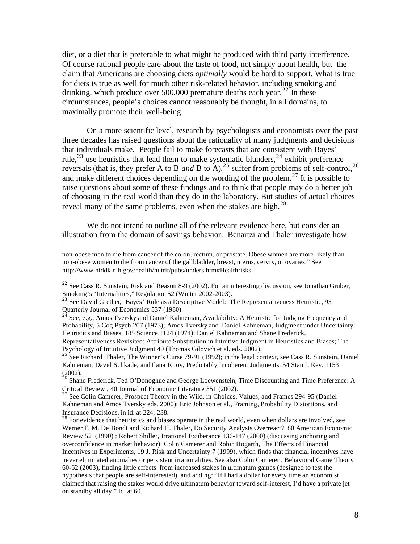diet, or a diet that is preferable to what might be produced with third party interference. Of course rational people care about the taste of food, not simply about health, but the claim that Americans are choosing diets *optimally* would be hard to support. What is true for diets is true as well for much other risk-related behavior, including smoking and drinking, which produce over 500,000 premature deaths each year.<sup>22</sup> In these circumstances, people's choices cannot reasonably be thought, in all domains, to maximally promote their well-being.

On a more scientific level, research by psychologists and economists over the past three decades has raised questions about the rationality of many judgments and decisions that individuals make. People fail to make forecasts that are consistent with Bayes' rule,<sup>23</sup> use heuristics that lead them to make systematic blunders,<sup>24</sup> exhibit preference reversals (that is, they prefer A to B *and* B to A),<sup>25</sup> suffer from problems of self-control,<sup>26</sup> and make different choices depending on the wording of the problem.<sup>27</sup> It is possible to raise questions about some of these findings and to think that people may do a better job of choosing in the real world than they do in the laboratory. But studies of actual choices reveal many of the same problems, even when the stakes are high.<sup>28</sup>

We do not intend to outline all of the relevant evidence here, but consider an illustration from the domain of savings behavior. Benartzi and Thaler investigate how

non-obese men to die from cancer of the colon, rectum, or prostate. Obese women are more likely than non-obese women to die from cancer of the gallbladder, breast, uterus, cervix, or ovaries." See http://www.niddk.nih.gov/health/nutrit/pubs/unders.htm#Healthrisks.

 $\overline{a}$ 

<sup>22</sup> See Cass R. Sunstein, Risk and Reason 8-9 (2002). For an interesting discussion, see Jonathan Gruber, Smoking's "Internalities," Regulation 52 (Winter 2002-2003).

 $^{23}$  See David Grether, Bayes' Rule as a Descriptive Model: The Representativeness Heuristic, 95 Quarterly Journal of Economics 537 (1980).

 $24$  See, e.g., Amos Tversky and Daniel Kahneman, Availability: A Heuristic for Judging Frequency and Probability, 5 Cog Psych 207 (1973); Amos Tversky and Daniel Kahneman, Judgment under Uncertainty: Heuristics and Biases, 185 Science 1124 (1974); Daniel Kahneman and Shane Frederick,

Representativeness Revisited: Attribute Substitution in Intuitive Judgment in Heuristics and Biases; The Psychology of Intuitive Judgment 49 (Thomas Gilovich et al. eds. 2002).

<sup>25</sup> See Richard Thaler, The Winner's Curse 79-91 (1992); in the legal context, see Cass R. Sunstein, Daniel Kahneman, David Schkade, and Ilana Ritov, Predictably Incoherent Judgments, 54 Stan L Rev. 1153 (2002).

 $^{26}$  Shane Frederick, Ted O'Donoghue and George Loewenstein, Time Discounting and Time Preference: A Critical Review , 40 Journal of Economic Literature 351 (2002).

<sup>27</sup> See Colin Camerer, Prospect Theory in the Wild, in Choices, Values, and Frames 294-95 (Daniel Kahneman and Amos Tversky eds. 2000); Eric Johnson et al., Framing, Probability Distortions, and Insurance Decisions, in id. at 224, 238.

<sup>28</sup> For evidence that heuristics and biases operate in the real world, even when dollars are involved, see Werner F. M. De Bondt and Richard H. Thaler, Do Security Analysts Overreact? 80 American Economic Review 52 (1990) ; Robert Shiller, Irrational Exuberance 136-147 (2000) (discussing anchoring and overconfidence in market behavior); Colin Camerer and Robin Hogarth, The Effects of Financial Incentives in Experiments, 19 J. Risk and Uncertainty 7 (1999), which finds that financial incentives have never eliminated anomalies or persistent irrationalities. See also Colin Camerer , Behavioral Game Theory 60-62 (2003), finding little effects from increased stakes in ultimatum games (designed to test the hypothesis that people are self-interested), and adding: "If I had a dollar for every time an economist claimed that raising the stakes would drive ultimatum behavior toward self-interest, I'd have a private jet on standby all day." Id. at 60.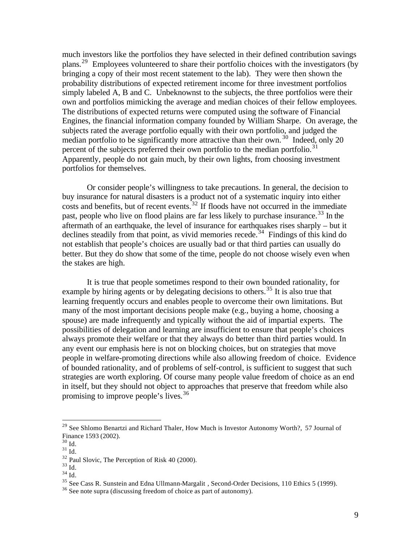much investors like the portfolios they have selected in their defined contribution savings plans.<sup>29</sup> Employees volunteered to share their portfolio choices with the investigators (by bringing a copy of their most recent statement to the lab). They were then shown the probability distributions of expected retirement income for three investment portfolios simply labeled A, B and C. Unbeknownst to the subjects, the three portfolios were their own and portfolios mimicking the average and median choices of their fellow employees. The distributions of expected returns were computed using the software of Financial Engines, the financial information company founded by William Sharpe. On average, the subjects rated the average portfolio equally with their own portfolio, and judged the median portfolio to be significantly more attractive than their own.<sup>30</sup> Indeed, only 20 percent of the subjects preferred their own portfolio to the median portfolio. $31$ Apparently, people do not gain much, by their own lights, from choosing investment portfolios for themselves.

Or consider people's willingness to take precautions. In general, the decision to buy insurance for natural disasters is a product not of a systematic inquiry into either costs and benefits, but of recent events. $32$  If floods have not occurred in the immediate past, people who live on flood plains are far less likely to purchase insurance.<sup>33</sup> In the aftermath of an earthquake, the level of insurance for earthquakes rises sharply – but it declines steadily from that point, as vivid memories recede.<sup>34</sup> Findings of this kind do not establish that people's choices are usually bad or that third parties can usually do better. But they do show that some of the time, people do not choose wisely even when the stakes are high.

It is true that people sometimes respond to their own bounded rationality, for example by hiring agents or by delegating decisions to others.<sup>35</sup> It is also true that learning frequently occurs and enables people to overcome their own limitations. But many of the most important decisions people make (e.g., buying a home, choosing a spouse) are made infrequently and typically without the aid of impartial experts. The possibilities of delegation and learning are insufficient to ensure that people's choices always promote their welfare or that they always do better than third parties would. In any event our emphasis here is not on blocking choices, but on strategies that move people in welfare-promoting directions while also allowing freedom of choice. Evidence of bounded rationality, and of problems of self-control, is sufficient to suggest that such strategies are worth exploring. Of course many people value freedom of choice as an end in itself, but they should not object to approaches that preserve that freedom while also promising to improve people's lives.<sup>36</sup>

<sup>&</sup>lt;sup>29</sup> See Shlomo Benartzi and Richard Thaler, How Much is Investor Autonomy Worth?, 57 Journal of Finance 1593 (2002).

 $30$  Id.

 $^{31}$  Id.

<sup>32</sup> Paul Slovic, The Perception of Risk 40 (2000).

<sup>33</sup> Id.

 $34$  Id.

<sup>35</sup> See Cass R. Sunstein and Edna Ullmann-Margalit , Second-Order Decisions, 110 Ethics 5 (1999).

<sup>&</sup>lt;sup>36</sup> See note supra (discussing freedom of choice as part of autonomy).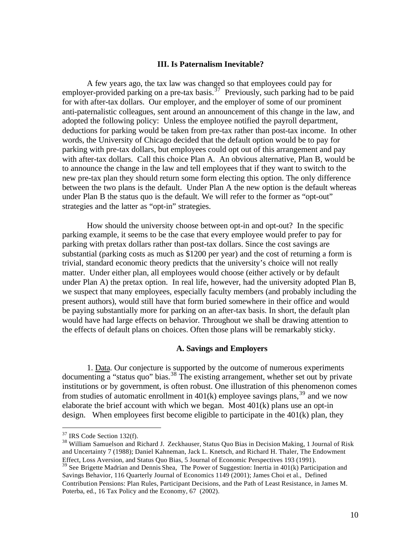# **III. Is Paternalism Inevitable?**

A few years ago, the tax law was changed so that employees could pay for employer-provided parking on a pre-tax basis.<sup>37</sup> Previously, such parking had to be paid for with after-tax dollars. Our employer, and the employer of some of our prominent anti-paternalistic colleagues, sent around an announcement of this change in the law, and adopted the following policy: Unless the employee notified the payroll department, deductions for parking would be taken from pre-tax rather than post-tax income. In other words, the University of Chicago decided that the default option would be to pay for parking with pre-tax dollars, but employees could opt out of this arrangement and pay with after-tax dollars. Call this choice Plan A. An obvious alternative, Plan B, would be to announce the change in the law and tell employees that if they want to switch to the new pre-tax plan they should return some form electing this option. The only difference between the two plans is the default. Under Plan A the new option is the default whereas under Plan B the status quo is the default. We will refer to the former as "opt-out" strategies and the latter as "opt-in" strategies.

How should the university choose between opt-in and opt-out? In the specific parking example, it seems to be the case that every employee would prefer to pay for parking with pretax dollars rather than post-tax dollars. Since the cost savings are substantial (parking costs as much as \$1200 per year) and the cost of returning a form is trivial, standard economic theory predicts that the university's choice will not really matter. Under either plan, all employees would choose (either actively or by default under Plan A) the pretax option. In real life, however, had the university adopted Plan B, we suspect that many employees, especially faculty members (and probably including the present authors), would still have that form buried somewhere in their office and would be paying substantially more for parking on an after-tax basis. In short, the default plan would have had large effects on behavior. Throughout we shall be drawing attention to the effects of default plans on choices. Often those plans will be remarkably sticky.

#### **A. Savings and Employers**

1. Data. Our conjecture is supported by the outcome of numerous experiments documenting a "status quo" bias.<sup>38</sup> The existing arrangement, whether set out by private institutions or by government, is often robust. One illustration of this phenomenon comes from studies of automatic enrollment in  $401(k)$  employee savings plans,  $39$  and we now elaborate the brief account with which we began. Most 401(k) plans use an opt-in design. When employees first become eligible to participate in the  $401(k)$  plan, they

<sup>&</sup>lt;sup>37</sup> IRS Code Section 132(f).

<sup>&</sup>lt;sup>38</sup> William Samuelson and Richard J. Zeckhauser, Status Quo Bias in Decision Making, 1 Journal of Risk and Uncertainty 7 (1988); Daniel Kahneman, Jack L. Knetsch, and Richard H. Thaler, The Endowment Effect, Loss Aversion, and Status Quo Bias, 5 Journal of Economic Perspectives 193 (1991).

<sup>&</sup>lt;sup>39</sup> See Brigette Madrian and Dennis Shea, The Power of Suggestion: Inertia in 401(k) Participation and Savings Behavior, 116 Quarterly Journal of Economics 1149 (2001); James Choi et al., Defined Contribution Pensions: Plan Rules, Participant Decisions, and the Path of Least Resistance, in James M. Poterba, ed., 16 Tax Policy and the Economy, 67 (2002).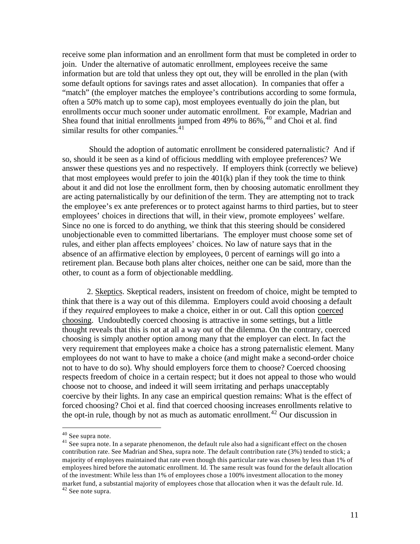receive some plan information and an enrollment form that must be completed in order to join. Under the alternative of automatic enrollment, employees receive the same information but are told that unless they opt out, they will be enrolled in the plan (with some default options for savings rates and asset allocation). In companies that offer a "match" (the employer matches the employee's contributions according to some formula, often a 50% match up to some cap), most employees eventually do join the plan, but enrollments occur much sooner under automatic enrollment. For example, Madrian and Shea found that initial enrollments jumped from  $49\%$  to  $86\%$ ,  $40$  and Choi et al. find similar results for other companies. $41$ 

 Should the adoption of automatic enrollment be considered paternalistic? And if so, should it be seen as a kind of officious meddling with employee preferences? We answer these questions yes and no respectively. If employers think (correctly we believe) that most employees would prefer to join the  $401(k)$  plan if they took the time to think about it and did not lose the enrollment form, then by choosing automatic enrollment they are acting paternalistically by our definition of the term. They are attempting not to track the employee's ex ante preferences or to protect against harms to third parties, but to steer employees' choices in directions that will, in their view, promote employees' welfare. Since no one is forced to do anything, we think that this steering should be considered unobjectionable even to committed libertarians. The employer must choose some set of rules, and either plan affects employees' choices. No law of nature says that in the absence of an affirmative election by employees, 0 percent of earnings will go into a retirement plan. Because both plans alter choices, neither one can be said, more than the other, to count as a form of objectionable meddling.

2. Skeptics. Skeptical readers, insistent on freedom of choice, might be tempted to think that there is a way out of this dilemma. Employers could avoid choosing a default if they *required* employees to make a choice, either in or out. Call this option coerced choosing. Undoubtedly coerced choosing is attractive in some settings, but a little thought reveals that this is not at all a way out of the dilemma. On the contrary, coerced choosing is simply another option among many that the employer can elect. In fact the very requirement that employees make a choice has a strong paternalistic element. Many employees do not want to have to make a choice (and might make a second-order choice not to have to do so). Why should employers force them to choose? Coerced choosing respects freedom of choice in a certain respect; but it does not appeal to those who would choose not to choose, and indeed it will seem irritating and perhaps unacceptably coercive by their lights. In any case an empirical question remains: What is the effect of forced choosing? Choi et al. find that coerced choosing increases enrollments relative to the opt-in rule, though by not as much as automatic enrollment.<sup>42</sup> Our discussion in

<sup>40</sup> See supra note.

<sup>&</sup>lt;sup>41</sup> See supra note. In a separate phenomenon, the default rule also had a significant effect on the chosen contribution rate. See Madrian and Shea, supra note. The default contribution rate (3%) tended to stick; a majority of employees maintained that rate even though this particular rate was chosen by less than 1% of employees hired before the automatic enrollment. Id. The same result was found for the default allocation of the investment: While less than 1% of employees chose a 100% investment allocation to the money market fund, a substantial majority of employees chose that allocation when it was the default rule. Id. <sup>42</sup> See note supra.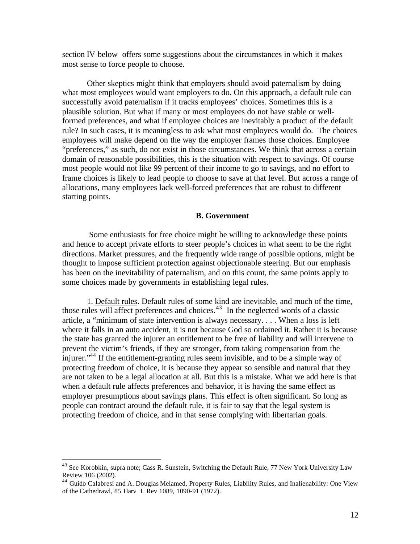section IV below offers some suggestions about the circumstances in which it makes most sense to force people to choose.

Other skeptics might think that employers should avoid paternalism by doing what most employees would want employers to do. On this approach, a default rule can successfully avoid paternalism if it tracks employees' choices. Sometimes this is a plausible solution. But what if many or most employees do not have stable or wellformed preferences, and what if employee choices are inevitably a product of the default rule? In such cases, it is meaningless to ask what most employees would do. The choices employees will make depend on the way the employer frames those choices. Employee "preferences," as such, do not exist in those circumstances. We think that across a certain domain of reasonable possibilities, this is the situation with respect to savings. Of course most people would not like 99 percent of their income to go to savings, and no effort to frame choices is likely to lead people to choose to save at that level. But across a range of allocations, many employees lack well-forced preferences that are robust to different starting points.

### **B. Government**

 Some enthusiasts for free choice might be willing to acknowledge these points and hence to accept private efforts to steer people's choices in what seem to be the right directions. Market pressures, and the frequently wide range of possible options, might be thought to impose sufficient protection against objectionable steering. But our emphasis has been on the inevitability of paternalism, and on this count, the same points apply to some choices made by governments in establishing legal rules.

1. Default rules. Default rules of some kind are inevitable, and much of the time, those rules will affect preferences and choices.<sup>43</sup> In the neglected words of a classic article, a "minimum of state intervention is always necessary. . . . When a loss is left where it falls in an auto accident, it is not because God so ordained it. Rather it is because the state has granted the injurer an entitlement to be free of liability and will intervene to prevent the victim's friends, if they are stronger, from taking compensation from the injurer."<sup>44</sup> If the entitlement-granting rules seem invisible, and to be a simple way of protecting freedom of choice, it is because they appear so sensible and natural that they are not taken to be a legal allocation at all. But this is a mistake. What we add here is that when a default rule affects preferences and behavior, it is having the same effect as employer presumptions about savings plans. This effect is often significant. So long as people can contract around the default rule, it is fair to say that the legal system is protecting freedom of choice, and in that sense complying with libertarian goals.

<sup>&</sup>lt;sup>43</sup> See Korobkin, supra note; Cass R. Sunstein, Switching the Default Rule, 77 New York University Law Review 106 (2002).

<sup>&</sup>lt;sup>44</sup> Guido Calabresi and A. Douglas Melamed, Property Rules, Liability Rules, and Inalienability: One View of the Cathedrawl, 85 Harv L Rev 1089, 1090-91 (1972).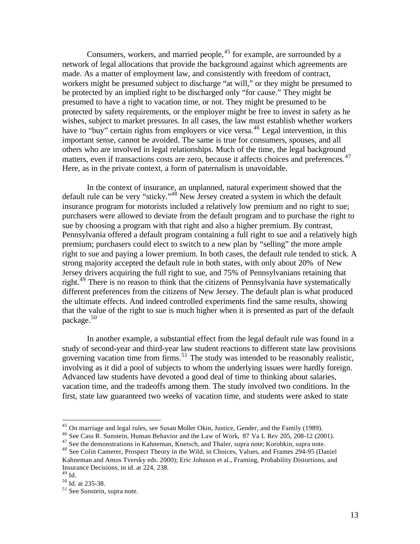Consumers, workers, and married people,<sup>45</sup> for example, are surrounded by a network of legal allocations that provide the background against which agreements are made. As a matter of employment law, and consistently with freedom of contract, workers might be presumed subject to discharge "at will," or they might be presumed to be protected by an implied right to be discharged only "for cause." They might be presumed to have a right to vacation time, or not. They might be presumed to be protected by safety requirements, or the employer might be free to invest in safety as he wishes, subject to market pressures. In all cases, the law must establish whether workers have to "buy" certain rights from employers or vice versa.<sup>46</sup> Legal intervention, in this important sense, cannot be avoided. The same is true for consumers, spouses, and all others who are involved in legal relationships. Much of the time, the legal background matters, even if transactions costs are zero, because it affects choices and preferences.<sup>47</sup> Here, as in the private context, a form of paternalism is unavoidable.

In the context of insurance, an unplanned, natural experiment showed that the default rule can be very "sticky."<sup>48</sup> New Jersey created a system in which the default insurance program for motorists included a relatively low premium and no right to sue; purchasers were allowed to deviate from the default program and to purchase the right to sue by choosing a program with that right and also a higher premium. By contrast, Pennsylvania offered a default program containing a full right to sue and a relatively high premium; purchasers could elect to switch to a new plan by "selling" the more ample right to sue and paying a lower premium. In both cases, the default rule tended to stick. A strong majority accepted the default rule in both states, with only about 20% of New Jersey drivers acquiring the full right to sue, and 75% of Pennsylvanians retaining that right.<sup>49</sup> There is no reason to think that the citizens of Pennsylvania have systematically different preferences from the citizens of New Jersey. The default plan is what produced the ultimate effects. And indeed controlled experiments find the same results, showing that the value of the right to sue is much higher when it is presented as part of the default package.<sup>50</sup>

In another example, a substantial effect from the legal default rule was found in a study of second-year and third-year law student reactions to different state law provisions governing vacation time from firms.<sup>51</sup> The study was intended to be reasonably realistic, involving as it did a pool of subjects to whom the underlying issues were hardly foreign. Advanced law students have devoted a good deal of time to thinking about salaries, vacation time, and the tradeoffs among them. The study involved two conditions. In the first, state law guaranteed two weeks of vacation time, and students were asked to state

<sup>45</sup> On marriage and legal rules, see Susan Moller Okin, Justice, Gender, and the Family (1989).

<sup>46</sup> See Cass R. Sunstein, Human Behavior and the Law of Work, 87 Va L Rev 205, 208-12 (2001).

<sup>&</sup>lt;sup>47</sup> See the demonstrations in Kahneman, Knetsch, and Thaler, supra note; Korobkin, supra note.

<sup>48</sup> See Colin Camerer, Prospect Theory in the Wild, in Choices, Values, and Frames 294-95 (Daniel Kahneman and Amos Tversky eds. 2000); Eric Johnson et al., Framing, Probability Distortions, and Insurance Decisions, in id. at 224, 238.

 $49$  Id.

<sup>50</sup> Id. at 235-38.

<sup>&</sup>lt;sup>51</sup> See Sunstein, supra note.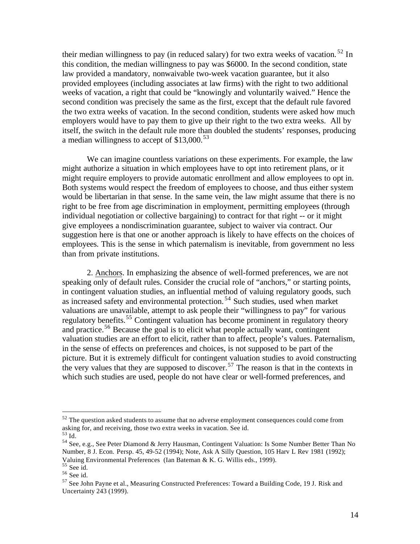their median willingness to pay (in reduced salary) for two extra weeks of vacation.<sup>52</sup> In this condition, the median willingness to pay was \$6000. In the second condition, state law provided a mandatory, nonwaivable two-week vacation guarantee, but it also provided employees (including associates at law firms) with the right to two additional weeks of vacation, a right that could be "knowingly and voluntarily waived." Hence the second condition was precisely the same as the first, except that the default rule favored the two extra weeks of vacation. In the second condition, students were asked how much employers would have to pay them to give up their right to the two extra weeks. All by itself, the switch in the default rule more than doubled the students' responses, producing a median willingness to accept of  $$13,000.<sup>53</sup>$ 

We can imagine countless variations on these experiments. For example, the law might authorize a situation in which employees have to opt into retirement plans, or it might require employers to provide automatic enrollment and allow employees to opt in. Both systems would respect the freedom of employees to choose, and thus either system would be libertarian in that sense. In the same vein, the law might assume that there is no right to be free from age discrimination in employment, permitting employees (through individual negotiation or collective bargaining) to contract for that right -- or it might give employees a nondiscrimination guarantee, subject to waiver via contract. Our suggestion here is that one or another approach is likely to have effects on the choices of employees. This is the sense in which paternalism is inevitable, from government no less than from private institutions.

2. Anchors. In emphasizing the absence of well-formed preferences, we are not speaking only of default rules. Consider the crucial role of "anchors," or starting points, in contingent valuation studies, an influential method of valuing regulatory goods, such as increased safety and environmental protection. <sup>54</sup> Such studies, used when market valuations are unavailable, attempt to ask people their "willingness to pay" for various regulatory benefits.<sup>55</sup> Contingent valuation has become prominent in regulatory theory and practice.<sup>56</sup> Because the goal is to elicit what people actually want, contingent valuation studies are an effort to elicit, rather than to affect, people's values. Paternalism, in the sense of effects on preferences and choices, is not supposed to be part of the picture. But it is extremely difficult for contingent valuation studies to avoid constructing the very values that they are supposed to discover.<sup>57</sup> The reason is that in the contexts in which such studies are used, people do not have clear or well-formed preferences, and

 $52$  The question asked students to assume that no adverse employment consequences could come from asking for, and receiving, those two extra weeks in vacation. See id.

<sup>53</sup> Id.

<sup>54</sup> See, e.g., See Peter Diamond & Jerry Hausman, Contingent Valuation: Is Some Number Better Than No Number, 8 J. Econ. Persp. 45, 49-52 (1994); Note, Ask A Silly Question, 105 Harv L Rev 1981 (1992); Valuing Environmental Preferences (Ian Bateman & K. G. Willis eds., 1999).

<sup>55</sup> See id.

<sup>56</sup> See id.

<sup>&</sup>lt;sup>57</sup> See John Payne et al., Measuring Constructed Preferences: Toward a Building Code, 19 J. Risk and Uncertainty 243 (1999).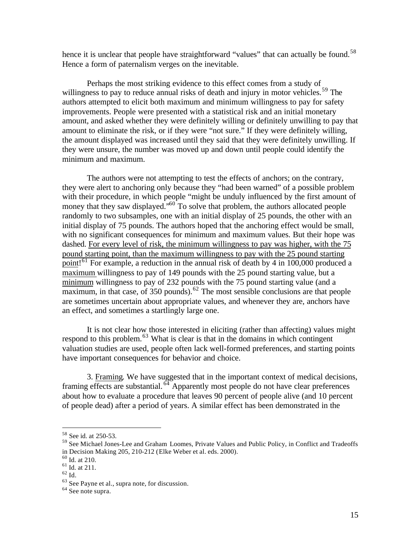hence it is unclear that people have straightforward "values" that can actually be found.<sup>58</sup> Hence a form of paternalism verges on the inevitable.

Perhaps the most striking evidence to this effect comes from a study of willingness to pay to reduce annual risks of death and injury in motor vehicles.<sup>59</sup> The authors attempted to elicit both maximum and minimum willingness to pay for safety improvements. People were presented with a statistical risk and an initial monetary amount, and asked whether they were definitely willing or definitely unwilling to pay that amount to eliminate the risk, or if they were "not sure." If they were definitely willing, the amount displayed was increased until they said that they were definitely unwilling. If they were unsure, the number was moved up and down until people could identify the minimum and maximum.

The authors were not attempting to test the effects of anchors; on the contrary, they were alert to anchoring only because they "had been warned" of a possible problem with their procedure, in which people "might be unduly influenced by the first amount of money that they saw displayed."<sup>60</sup> To solve that problem, the authors allocated people randomly to two subsamples, one with an initial display of 25 pounds, the other with an initial display of 75 pounds. The authors hoped that the anchoring effect would be small, with no significant consequences for minimum and maximum values. But their hope was dashed. For every level of risk, the minimum willingness to pay was higher, with the 75 pound starting point, than the maximum willingness to pay with the 25 pound starting point!<sup>61</sup> For example, a reduction in the annual risk of death by 4 in 100,000 produced a maximum willingness to pay of 149 pounds with the 25 pound starting value, but a minimum willingness to pay of 232 pounds with the 75 pound starting value (and a  $\overline{\text{maximum}}$ , in that case, of 350 pounds).<sup>62</sup> The most sensible conclusions are that people are sometimes uncertain about appropriate values, and whenever they are, anchors have an effect, and sometimes a startlingly large one.

It is not clear how those interested in eliciting (rather than affecting) values might respond to this problem.<sup>63</sup> What is clear is that in the domains in which contingent valuation studies are used, people often lack well-formed preferences, and starting points have important consequences for behavior and choice.

3. Framing. We have suggested that in the important context of medical decisions, framing effects are substantial.<sup>64</sup> Apparently most people do not have clear preferences about how to evaluate a procedure that leaves 90 percent of people alive (and 10 percent of people dead) after a period of years. A similar effect has been demonstrated in the

<sup>58</sup> See id. at 250-53.

<sup>59</sup> See Michael Jones-Lee and Graham Loomes, Private Values and Public Policy, in Conflict and Tradeoffs in Decision Making 205, 210-212 (Elke Weber et al. eds. 2000).

 $60$  Id. at 210.

 $61$  Id. at 211.

 $62$  Id.

<sup>63</sup> See Payne et al., supra note, for discussion.

<sup>64</sup> See note supra.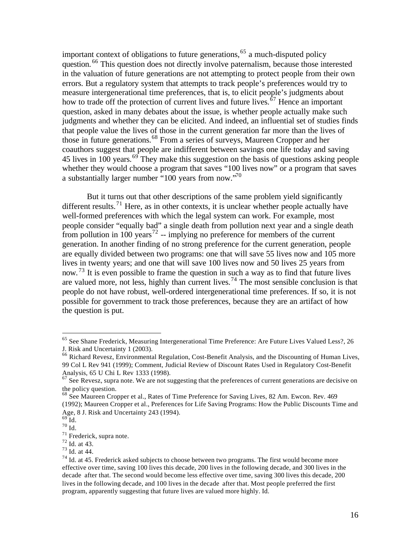important context of obligations to future generations,<sup>65</sup> a much-disputed policy question. <sup>66</sup> This question does not directly involve paternalism, because those interested in the valuation of future generations are not attempting to protect people from their own errors. But a regulatory system that attempts to track people's preferences would try to measure intergenerational time preferences, that is, to elicit people's judgments about how to trade off the protection of current lives and future lives.<sup>67</sup> Hence an important question, asked in many debates about the issue, is whether people actually make such judgments and whether they can be elicited. And indeed, an influential set of studies finds that people value the lives of those in the current generation far more than the lives of those in future generations.<sup>68</sup> From a series of surveys, Maureen Cropper and her coauthors suggest that people are indifferent between savings one life today and saving 45 lives in 100 years.<sup>69</sup> They make this suggestion on the basis of questions asking people whether they would choose a program that saves "100 lives now" or a program that saves a substantially larger number "100 years from now."<sup>70</sup>

But it turns out that other descriptions of the same problem yield significantly different results.<sup>71</sup> Here, as in other contexts, it is unclear whether people actually have well-formed preferences with which the legal system can work. For example, most people consider "equally bad" a single death from pollution next year and a single death from pollution in 100 years<sup>72</sup> -- implying no preference for members of the current generation. In another finding of no strong preference for the current generation, people are equally divided between two programs: one that will save 55 lives now and 105 more lives in twenty years; and one that will save 100 lives now and 50 lives 25 years from now. <sup>73</sup> It is even possible to frame the question in such a way as to find that future lives are valued more, not less, highly than current lives.<sup>74</sup> The most sensible conclusion is that people do not have robust, well-ordered intergenerational time preferences. If so, it is not possible for government to track those preferences, because they are an artifact of how the question is put.

<sup>&</sup>lt;sup>65</sup> See Shane Frederick, Measuring Intergenerational Time Preference: Are Future Lives Valued Less?, 26 J. Risk and Uncertainty 1 (2003).

<sup>66</sup> Richard Revesz, Environmental Regulation, Cost-Benefit Analysis, and the Discounting of Human Lives, 99 Col L Rev 941 (1999); Comment, Judicial Review of Discount Rates Used in Regulatory Cost-Benefit Analysis, 65 U Chi L Rev 1333 (1998).

 $67$  See Revesz, supra note. We are not suggesting that the preferences of current generations are decisive on the policy question.

<sup>&</sup>lt;sup>68</sup> See Maureen Cropper et al., Rates of Time Preference for Saving Lives, 82 Am. Ewcon. Rev. 469 (1992); Maureen Cropper et al., Preferences for Life Saving Programs: How the Public Discounts Time and Age, 8 J. Risk and Uncertainty 243 (1994).

 $^{69}$ Id.  $70\overline{1d}$ .

<sup>71</sup> Frederick, supra note.

<sup>72</sup> Id. at 43.

<sup>73</sup> Id. at 44.

 $74$  Id. at 45. Frederick asked subjects to choose between two programs. The first would become more effective over time, saving 100 lives this decade, 200 lives in the following decade, and 300 lives in the decade after that. The second would become less effective over time, saving 300 lives this decade, 200 lives in the following decade, and 100 lives in the decade after that. Most people preferred the first program, apparently suggesting that future lives are valued more highly. Id.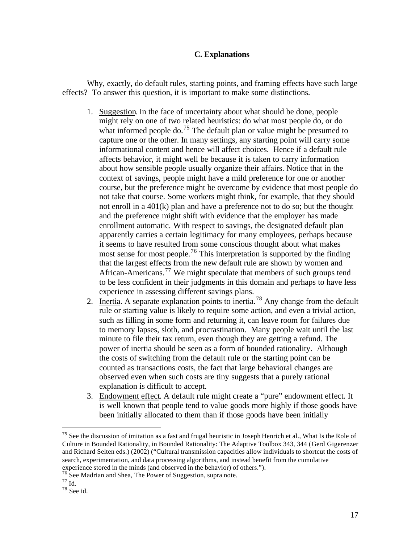# **C. Explanations**

Why, exactly, do default rules, starting points, and framing effects have such large effects? To answer this question, it is important to make some distinctions.

- 1. Suggestion. In the face of uncertainty about what should be done, people might rely on one of two related heuristics: do what most people do, or do what informed people do.<sup>75</sup> The default plan or value might be presumed to capture one or the other. In many settings, any starting point will carry some informational content and hence will affect choices. Hence if a default rule affects behavior, it might well be because it is taken to carry information about how sensible people usually organize their affairs. Notice that in the context of savings, people might have a mild preference for one or another course, but the preference might be overcome by evidence that most people do not take that course. Some workers might think, for example, that they should not enroll in a 401(k) plan and have a preference not to do so; but the thought and the preference might shift with evidence that the employer has made enrollment automatic. With respect to savings, the designated default plan apparently carries a certain legitimacy for many employees, perhaps because it seems to have resulted from some conscious thought about what makes most sense for most people.<sup>76</sup> This interpretation is supported by the finding that the largest effects from the new default rule are shown by women and African-Americans.<sup>77</sup> We might speculate that members of such groups tend to be less confident in their judgments in this domain and perhaps to have less experience in assessing different savings plans.
- 2. Inertia. A separate explanation points to inertia.<sup>78</sup> Any change from the default rule or starting value is likely to require some action, and even a trivial action, such as filling in some form and returning it, can leave room for failures due to memory lapses, sloth, and procrastination. Many people wait until the last minute to file their tax return, even though they are getting a refund. The power of inertia should be seen as a form of bounded rationality. Although the costs of switching from the default rule or the starting point can be counted as transactions costs, the fact that large behavioral changes are observed even when such costs are tiny suggests that a purely rational explanation is difficult to accept.
- 3. Endowment effect. A default rule might create a "pure" endowment effect. It is well known that people tend to value goods more highly if those goods have been initially allocated to them than if those goods have been initially

<sup>&</sup>lt;sup>75</sup> See the discussion of imitation as a fast and frugal heuristic in Joseph Henrich et al., What Is the Role of Culture in Bounded Rationality, in Bounded Rationality: The Adaptive Toolbox 343, 344 (Gerd Gigerenzer and Richard Selten eds.) (2002) ("Cultural transmission capacities allow individuals to shortcut the costs of search, experimentation, and data processing algorithms, and instead benefit from the cumulative experience stored in the minds (and observed in the behavior) of others.").

 $76$  See Madrian and Shea, The Power of Suggestion, supra note.

 $77$  Id.

<sup>78</sup> See id.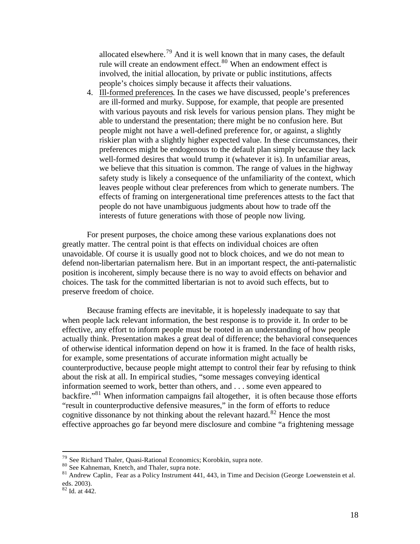allocated elsewhere.<sup>79</sup> And it is well known that in many cases, the default rule will create an endowment effect.<sup>80</sup> When an endowment effect is involved, the initial allocation, by private or public institutions, affects people's choices simply because it affects their valuations.

4. Ill-formed preferences. In the cases we have discussed, people's preferences are ill-formed and murky. Suppose, for example, that people are presented with various payouts and risk levels for various pension plans. They might be able to understand the presentation; there might be no confusion here. But people might not have a well-defined preference for, or against, a slightly riskier plan with a slightly higher expected value. In these circumstances, their preferences might be endogenous to the default plan simply because they lack well-formed desires that would trump it (whatever it is). In unfamiliar areas, we believe that this situation is common. The range of values in the highway safety study is likely a consequence of the unfamiliarity of the context, which leaves people without clear preferences from which to generate numbers. The effects of framing on intergenerational time preferences attests to the fact that people do not have unambiguous judgments about how to trade off the interests of future generations with those of people now living.

For present purposes, the choice among these various explanations does not greatly matter. The central point is that effects on individual choices are often unavoidable. Of course it is usually good not to block choices, and we do not mean to defend non-libertarian paternalism here. But in an important respect, the anti-paternalistic position is incoherent, simply because there is no way to avoid effects on behavior and choices. The task for the committed libertarian is not to avoid such effects, but to preserve freedom of choice.

Because framing effects are inevitable, it is hopelessly inadequate to say that when people lack relevant information, the best response is to provide it. In order to be effective, any effort to inform people must be rooted in an understanding of how people actually think. Presentation makes a great deal of difference; the behavioral consequences of otherwise identical information depend on how it is framed. In the face of health risks, for example, some presentations of accurate information might actually be counterproductive, because people might attempt to control their fear by refusing to think about the risk at all. In empirical studies, "some messages conveying identical information seemed to work, better than others, and . . . some even appeared to backfire."<sup>81</sup> When information campaigns fail altogether, it is often because those efforts "result in counterproductive defensive measures," in the form of efforts to reduce cognitive dissonance by not thinking about the relevant hazard.<sup>82</sup> Hence the most effective approaches go far beyond mere disclosure and combine "a frightening message

<sup>&</sup>lt;sup>79</sup> See Richard Thaler, Quasi-Rational Economics; Korobkin, supra note.

<sup>80</sup> See Kahneman, Knetch, and Thaler, supra note.

<sup>&</sup>lt;sup>81</sup> Andrew Caplin, Fear as a Policy Instrument 441, 443, in Time and Decision (George Loewenstein et al. eds. 2003).

 $82$  Id. at 442.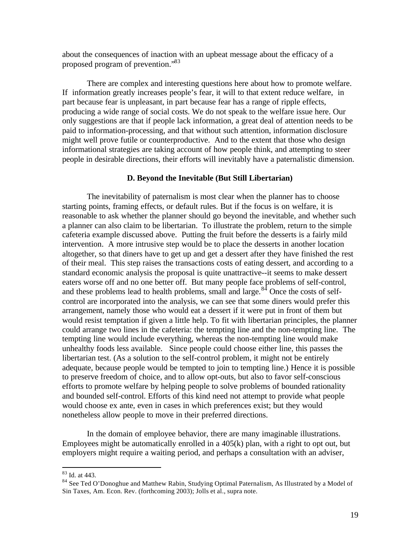about the consequences of inaction with an upbeat message about the efficacy of a proposed program of prevention."<sup>83</sup>

There are complex and interesting questions here about how to promote welfare. If information greatly increases people's fear, it will to that extent reduce welfare, in part because fear is unpleasant, in part because fear has a range of ripple effects, producing a wide range of social costs. We do not speak to the welfare issue here. Our only suggestions are that if people lack information, a great deal of attention needs to be paid to information-processing, and that without such attention, information disclosure might well prove futile or counterproductive. And to the extent that those who design informational strategies are taking account of how people think, and attempting to steer people in desirable directions, their efforts will inevitably have a paternalistic dimension.

### **D. Beyond the Inevitable (But Still Libertarian)**

The inevitability of paternalism is most clear when the planner has to choose starting points, framing effects, or default rules. But if the focus is on welfare, it is reasonable to ask whether the planner should go beyond the inevitable, and whether such a planner can also claim to be libertarian. To illustrate the problem, return to the simple cafeteria example discussed above. Putting the fruit before the desserts is a fairly mild intervention. A more intrusive step would be to place the desserts in another location altogether, so that diners have to get up and get a dessert after they have finished the rest of their meal. This step raises the transactions costs of eating dessert, and according to a standard economic analysis the proposal is quite unattractive--it seems to make dessert eaters worse off and no one better off. But many people face problems of self-control, and these problems lead to health problems, small and large. $84$  Once the costs of selfcontrol are incorporated into the analysis, we can see that some diners would prefer this arrangement, namely those who would eat a dessert if it were put in front of them but would resist temptation if given a little help. To fit with libertarian principles, the planner could arrange two lines in the cafeteria: the tempting line and the non-tempting line. The tempting line would include everything, whereas the non-tempting line would make unhealthy foods less available. Since people could choose either line, this passes the libertarian test. (As a solution to the self-control problem, it might not be entirely adequate, because people would be tempted to join to tempting line.) Hence it is possible to preserve freedom of choice, and to allow opt-outs, but also to favor self-conscious efforts to promote welfare by helping people to solve problems of bounded rationality and bounded self-control. Efforts of this kind need not attempt to provide what people would choose ex ante, even in cases in which preferences exist; but they would nonetheless allow people to move in their preferred directions.

In the domain of employee behavior, there are many imaginable illustrations. Employees might be automatically enrolled in a 405(k) plan, with a right to opt out, but employers might require a waiting period, and perhaps a consultation with an adviser,

<sup>83</sup> Id. at 443.

<sup>&</sup>lt;sup>84</sup> See Ted O'Donoghue and Matthew Rabin, Studying Optimal Paternalism, As Illustrated by a Model of Sin Taxes, Am. Econ. Rev. (forthcoming 2003); Jolls et al., supra note.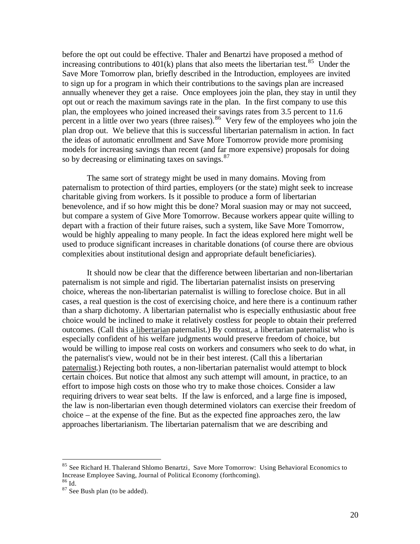before the opt out could be effective. Thaler and Benartzi have proposed a method of increasing contributions to  $401(k)$  plans that also meets the libertarian test.<sup>85</sup> Under the Save More Tomorrow plan, briefly described in the Introduction, employees are invited to sign up for a program in which their contributions to the savings plan are increased annually whenever they get a raise. Once employees join the plan, they stay in until they opt out or reach the maximum savings rate in the plan. In the first company to use this plan, the employees who joined increased their savings rates from 3.5 percent to 11.6 percent in a little over two years (three raises).  $86$  Very few of the employees who join the plan drop out. We believe that this is successful libertarian paternalism in action. In fact the ideas of automatic enrollment and Save More Tomorrow provide more promising models for increasing savings than recent (and far more expensive) proposals for doing so by decreasing or eliminating taxes on savings.<sup>87</sup>

The same sort of strategy might be used in many domains. Moving from paternalism to protection of third parties, employers (or the state) might seek to increase charitable giving from workers. Is it possible to produce a form of libertarian benevolence, and if so how might this be done? Moral suasion may or may not succeed, but compare a system of Give More Tomorrow. Because workers appear quite willing to depart with a fraction of their future raises, such a system, like Save More Tomorrow, would be highly appealing to many people. In fact the ideas explored here might well be used to produce significant increases in charitable donations (of course there are obvious complexities about institutional design and appropriate default beneficiaries).

It should now be clear that the difference between libertarian and non-libertarian paternalism is not simple and rigid. The libertarian paternalist insists on preserving choice, whereas the non-libertarian paternalist is willing to foreclose choice. But in all cases, a real question is the cost of exercising choice, and here there is a continuum rather than a sharp dichotomy. A libertarian paternalist who is especially enthusiastic about free choice would be inclined to make it relatively costless for people to obtain their preferred outcomes. (Call this a libertarian paternalist.) By contrast, a libertarian paternalist who is especially confident of his welfare judgments would preserve freedom of choice, but would be willing to impose real costs on workers and consumers who seek to do what, in the paternalist's view, would not be in their best interest. (Call this a libertarian paternalist.) Rejecting both routes, a non-libertarian paternalist would attempt to block certain choices. But notice that almost any such attempt will amount, in practice, to an effort to impose high costs on those who try to make those choices. Consider a law requiring drivers to wear seat belts. If the law is enforced, and a large fine is imposed, the law is non-libertarian even though determined violators can exercise their freedom of choice – at the expense of the fine. But as the expected fine approaches zero, the law approaches libertarianism. The libertarian paternalism that we are describing and

<sup>&</sup>lt;sup>85</sup> See Richard H. Thalerand Shlomo Benartzi, Save More Tomorrow: Using Behavioral Economics to Increase Employee Saving, Journal of Political Economy (forthcoming).

 $86$  Id.

<sup>&</sup>lt;sup>87</sup> See Bush plan (to be added).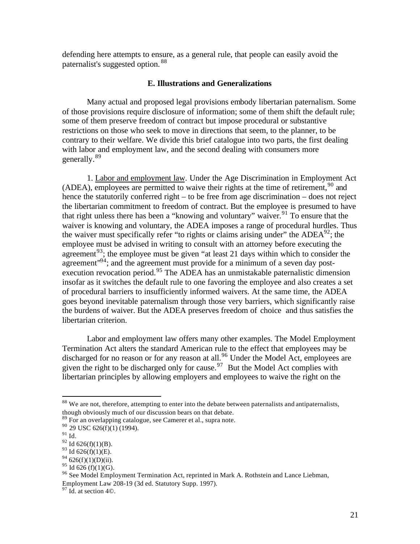defending here attempts to ensure, as a general rule, that people can easily avoid the paternalist's suggested option. <sup>88</sup>

### **E. Illustrations and Generalizations**

Many actual and proposed legal provisions embody libertarian paternalism. Some of those provisions require disclosure of information; some of them shift the default rule; some of them preserve freedom of contract but impose procedural or substantive restrictions on those who seek to move in directions that seem, to the planner, to be contrary to their welfare. We divide this brief catalogue into two parts, the first dealing with labor and employment law, and the second dealing with consumers more generally.<sup>89</sup>

1. Labor and employment law. Under the Age Discrimination in Employment Act (ADEA), employees are permitted to waive their rights at the time of retirement,  $90$  and hence the statutorily conferred right – to be free from age discrimination – does not reject the libertarian commitment to freedom of contract. But the employee is presumed to have that right unless there has been a "knowing and voluntary" waiver.<sup>91</sup> To ensure that the waiver is knowing and voluntary, the ADEA imposes a range of procedural hurdles. Thus the waiver must specifically refer "to rights or claims arising under" the  $ADEA^{92}$ ; the employee must be advised in writing to consult with an attorney before executing the agreement<sup>93</sup>; the employee must be given "at least 21 days within which to consider the agreement"<sup>94</sup>; and the agreement must provide for a minimum of a seven day postexecution revocation period.<sup>95</sup> The ADEA has an unmistakable paternalistic dimension insofar as it switches the default rule to one favoring the employee and also creates a set of procedural barriers to insufficiently informed waivers. At the same time, the ADEA goes beyond inevitable paternalism through those very barriers, which significantly raise the burdens of waiver. But the ADEA preserves freedom of choice and thus satisfies the libertarian criterion.

Labor and employment law offers many other examples. The Model Employment Termination Act alters the standard American rule to the effect that employees may be discharged for no reason or for any reason at all.<sup>96</sup> Under the Model Act, employees are given the right to be discharged only for cause.<sup>97</sup> But the Model Act complies with libertarian principles by allowing employers and employees to waive the right on the

<sup>&</sup>lt;sup>88</sup> We are not, therefore, attempting to enter into the debate between paternalists and antipaternalists, though obviously much of our discussion bears on that debate.

<sup>89</sup> For an overlapping catalogue, see Camerer et al., supra note.

 $90$  29 USC 626(f)(1) (1994).

<sup>91</sup> Id.

 $92$  Id 626(f)(1)(B).

 $93$  Id 626(f)(1)(E).

 $94626(f)(1)(D)(ii)$ .

 $95$  Id 626 (f)(1)(G).

<sup>&</sup>lt;sup>96</sup> See Model Employment Termination Act, reprinted in Mark A. Rothstein and Lance Liebman, Employment Law 208-19 (3d ed. Statutory Supp. 1997).

 $97$  Id. at section 4 $\odot$ .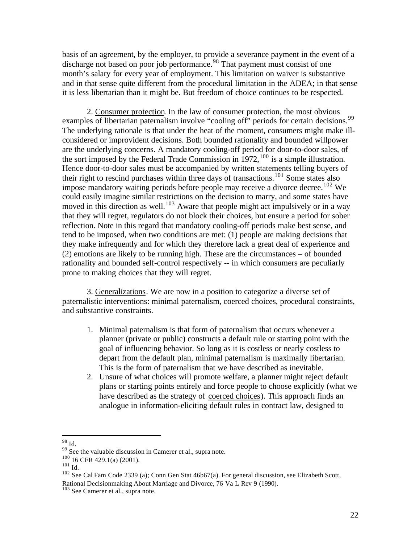basis of an agreement, by the employer, to provide a severance payment in the event of a discharge not based on poor job performance.<sup>98</sup> That payment must consist of one month's salary for every year of employment. This limitation on waiver is substantive and in that sense quite different from the procedural limitation in the ADEA; in that sense it is less libertarian than it might be. But freedom of choice continues to be respected.

2. Consumer protection. In the law of consumer protection, the most obvious examples of libertarian paternalism involve "cooling off" periods for certain decisions.<sup>99</sup> The underlying rationale is that under the heat of the moment, consumers might make illconsidered or improvident decisions. Both bounded rationality and bounded willpower are the underlying concerns. A mandatory cooling-off period for door-to-door sales, of the sort imposed by the Federal Trade Commission in  $1972$ ,  $100$  is a simple illustration. Hence door-to-door sales must be accompanied by written statements telling buyers of their right to rescind purchases within three days of transactions.<sup>101</sup> Some states also impose mandatory waiting periods before people may receive a divorce decree.<sup>102</sup> We could easily imagine similar restrictions on the decision to marry, and some states have moved in this direction as well.<sup>103</sup> Aware that people might act impulsively or in a way that they will regret, regulators do not block their choices, but ensure a period for sober reflection. Note in this regard that mandatory cooling-off periods make best sense, and tend to be imposed, when two conditions are met: (1) people are making decisions that they make infrequently and for which they therefore lack a great deal of experience and (2) emotions are likely to be running high. These are the circumstances – of bounded rationality and bounded self-control respectively -- in which consumers are peculiarly prone to making choices that they will regret.

3. Generalizations. We are now in a position to categorize a diverse set of paternalistic interventions: minimal paternalism, coerced choices, procedural constraints, and substantive constraints.

- 1. Minimal paternalism is that form of paternalism that occurs whenever a planner (private or public) constructs a default rule or starting point with the goal of influencing behavior. So long as it is costless or nearly costless to depart from the default plan, minimal paternalism is maximally libertarian. This is the form of paternalism that we have described as inevitable.
- 2. Unsure of what choices will promote welfare, a planner might reject default plans or starting points entirely and force people to choose explicitly (what we have described as the strategy of coerced choices). This approach finds an analogue in information-eliciting default rules in contract law, designed to

 $98$  Id.

<sup>&</sup>lt;sup>99</sup> See the valuable discussion in Camerer et al., supra note.

<sup>100</sup> 16 CFR 429.1(a) (2001).

 $101$  Id.

<sup>&</sup>lt;sup>102</sup> See Cal Fam Code 2339 (a); Conn Gen Stat 46b67(a). For general discussion, see Elizabeth Scott, Rational Decisionmaking About Marriage and Divorce, 76 Va L Rev 9 (1990).

<sup>&</sup>lt;sup>103</sup> See Camerer et al., supra note.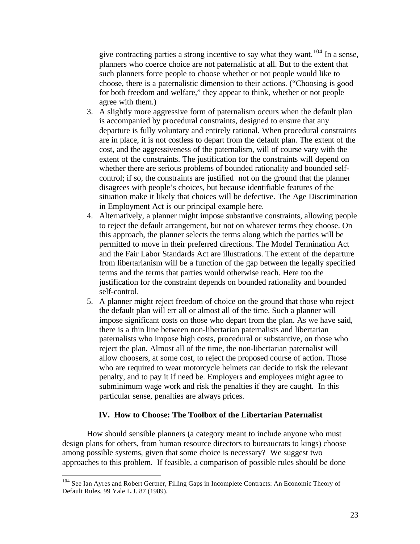give contracting parties a strong incentive to say what they want.<sup>104</sup> In a sense, planners who coerce choice are not paternalistic at all. But to the extent that such planners force people to choose whether or not people would like to choose, there is a paternalistic dimension to their actions. ("Choosing is good for both freedom and welfare," they appear to think, whether or not people agree with them.)

- 3. A slightly more aggressive form of paternalism occurs when the default plan is accompanied by procedural constraints, designed to ensure that any departure is fully voluntary and entirely rational. When procedural constraints are in place, it is not costless to depart from the default plan. The extent of the cost, and the aggressiveness of the paternalism, will of course vary with the extent of the constraints. The justification for the constraints will depend on whether there are serious problems of bounded rationality and bounded selfcontrol; if so, the constraints are justified not on the ground that the planner disagrees with people's choices, but because identifiable features of the situation make it likely that choices will be defective. The Age Discrimination in Employment Act is our principal example here.
- 4. Alternatively, a planner might impose substantive constraints, allowing people to reject the default arrangement, but not on whatever terms they choose. On this approach, the planner selects the terms along which the parties will be permitted to move in their preferred directions. The Model Termination Act and the Fair Labor Standards Act are illustrations. The extent of the departure from libertarianism will be a function of the gap between the legally specified terms and the terms that parties would otherwise reach. Here too the justification for the constraint depends on bounded rationality and bounded self-control.
- 5. A planner might reject freedom of choice on the ground that those who reject the default plan will err all or almost all of the time. Such a planner will impose significant costs on those who depart from the plan. As we have said, there is a thin line between non-libertarian paternalists and libertarian paternalists who impose high costs, procedural or substantive, on those who reject the plan. Almost all of the time, the non-libertarian paternalist will allow choosers, at some cost, to reject the proposed course of action. Those who are required to wear motorcycle helmets can decide to risk the relevant penalty, and to pay it if need be. Employers and employees might agree to subminimum wage work and risk the penalties if they are caught. In this particular sense, penalties are always prices.

### **IV. How to Choose: The Toolbox of the Libertarian Paternalist**

How should sensible planners (a category meant to include anyone who must design plans for others, from human resource directors to bureaucrats to kings) choose among possible systems, given that some choice is necessary? We suggest two approaches to this problem. If feasible, a comparison of possible rules should be done

<sup>&</sup>lt;sup>104</sup> See Ian Ayres and Robert Gertner, Filling Gaps in Incomplete Contracts: An Economic Theory of Default Rules, 99 Yale L.J. 87 (1989).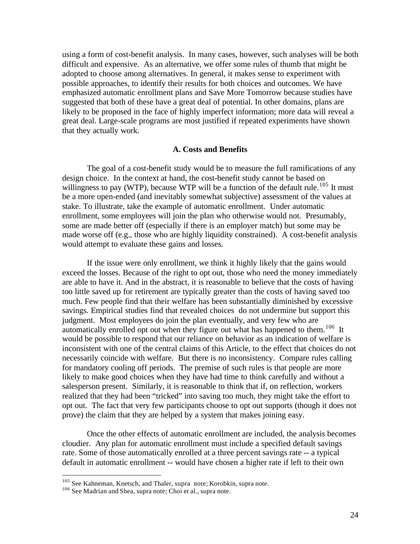using a form of cost-benefit analysis. In many cases, however, such analyses will be both difficult and expensive. As an alternative, we offer some rules of thumb that might be adopted to choose among alternatives. In general, it makes sense to experiment with possible approaches, to identify their results for both choices and outcomes. We have emphasized automatic enrollment plans and Save More Tomorrow because studies have suggested that both of these have a great deal of potential. In other domains, plans are likely to be proposed in the face of highly imperfect information; more data will reveal a great deal. Large-scale programs are most justified if repeated experiments have shown that they actually work.

### **A. Costs and Benefits**

The goal of a cost-benefit study would be to measure the full ramifications of any design choice. In the context at hand, the cost-benefit study cannot be based on willingness to pay (WTP), because WTP will be a function of the default rule.<sup>105</sup> It must be a more open-ended (and inevitably somewhat subjective) assessment of the values at stake. To illustrate, take the example of automatic enrollment. Under automatic enrollment, some employees will join the plan who otherwise would not. Presumably, some are made better off (especially if there is an employer match) but some may be made worse off (e.g., those who are highly liquidity constrained). A cost-benefit analysis would attempt to evaluate these gains and losses.

If the issue were only enrollment, we think it highly likely that the gains would exceed the losses. Because of the right to opt out, those who need the money immediately are able to have it. And in the abstract, it is reasonable to believe that the costs of having too little saved up for retirement are typically greater than the costs of having saved too much. Few people find that their welfare has been substantially diminished by excessive savings. Empirical studies find that revealed choices do not undermine but support this judgment. Most employees do join the plan eventually, and very few who are automatically enrolled opt out when they figure out what has happened to them.<sup>106</sup> It would be possible to respond that our reliance on behavior as an indication of welfare is inconsistent with one of the central claims of this Article, to the effect that choices do not necessarily coincide with welfare. But there is no inconsistency. Compare rules calling for mandatory cooling off periods. The premise of such rules is that people are more likely to make good choices when they have had time to think carefully and without a salesperson present. Similarly, it is reasonable to think that if, on reflection, workers realized that they had been "tricked" into saving too much, they might take the effort to opt out. The fact that very few participants choose to opt out supports (though it does not prove) the claim that they are helped by a system that makes joining easy.

Once the other effects of automatic enrollment are included, the analysis becomes cloudier. Any plan for automatic enrollment must include a specified default savings rate. Some of those automatically enrolled at a three percent savings rate -- a typical default in automatic enrollment -- would have chosen a higher rate if left to their own

<sup>&</sup>lt;sup>105</sup> See Kahneman, Knetsch, and Thaler, supra note; Korobkin, supra note.

<sup>&</sup>lt;sup>106</sup> See Madrian and Shea, supra note; Choi et al., supra note.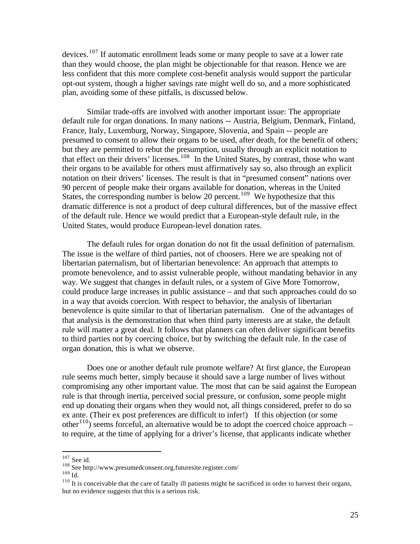devices.<sup>107</sup> If automatic enrollment leads some or many people to save at a lower rate than they would choose, the plan might be objectionable for that reason. Hence we are less confident that this more complete cost-benefit analysis would support the particular opt-out system, though a higher savings rate might well do so, and a more sophisticated plan, avoiding some of these pitfalls, is discussed below.

Similar trade-offs are involved with another important issue: The appropriate default rule for organ donations. In many nations -- Austria, Belgium, Denmark, Finland, France, Italy, Luxemburg, Norway, Singapore, Slovenia, and Spain -- people are presumed to consent to allow their organs to be used, after death, for the benefit of others; but they are permitted to rebut the presumption, usually through an explicit notation to that effect on their drivers' licenses.<sup>108</sup> In the United States, by contrast, those who want their organs to be available for others must affirmatively say so, also through an explicit notation on their drivers' licenses. The result is that in "presumed consent" nations over 90 percent of people make their organs available for donation, whereas in the United States, the corresponding number is below 20 percent.<sup>109</sup> We hypothesize that this dramatic difference is not a product of deep cultural differences, but of the massive effect of the default rule. Hence we would predict that a European-style default rule, in the United States, would produce European-level donation rates.

The default rules for organ donation do not fit the usual definition of paternalism. The issue is the welfare of third parties, not of choosers. Here we are speaking not of libertarian paternalism, but of libertarian benevolence: An approach that attempts to promote benevolence, and to assist vulnerable people, without mandating behavior in any way. We suggest that changes in default rules, or a system of Give More Tomorrow, could produce large increases in public assistance – and that such approaches could do so in a way that avoids coercion. With respect to behavior, the analysis of libertarian benevolence is quite similar to that of libertarian paternalism. One of the advantages of that analysis is the demonstration that when third party interests are at stake, the default rule will matter a great deal. It follows that planners can often deliver significant benefits to third parties not by coercing choice, but by switching the default rule. In the case of organ donation, this is what we observe.

Does one or another default rule promote welfare? At first glance, the European rule seems much better, simply because it should save a large number of lives without compromising any other important value. The most that can be said against the European rule is that through inertia, perceived social pressure, or confusion, some people might end up donating their organs when they would not, all things considered, prefer to do so ex ante. (Their ex post preferences are difficult to infer!) If this objection (or some other<sup>110</sup>) seems forceful, an alternative would be to adopt the coerced choice approach – to require, at the time of applying for a driver's license, that applicants indicate whether

 $107$  See id.

<sup>108</sup> See http://www.presumedconsent.org.futuresite.register.com/

 $109$  Id.

<sup>&</sup>lt;sup>110</sup> It is conceivable that the care of fatally ill patients might be sacrificed in order to harvest their organs, but no evidence suggests that this is a serious risk.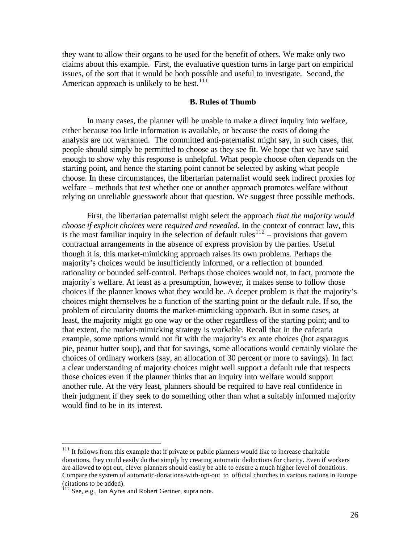they want to allow their organs to be used for the benefit of others. We make only two claims about this example. First, the evaluative question turns in large part on empirical issues, of the sort that it would be both possible and useful to investigate. Second, the American approach is unlikely to be best.<sup>111</sup>

# **B. Rules of Thumb**

In many cases, the planner will be unable to make a direct inquiry into welfare, either because too little information is available, or because the costs of doing the analysis are not warranted. The committed anti-paternalist might say, in such cases, that people should simply be permitted to choose as they see fit. We hope that we have said enough to show why this response is unhelpful. What people choose often depends on the starting point, and hence the starting point cannot be selected by asking what people choose. In these circumstances, the libertarian paternalist would seek indirect proxies for welfare – methods that test whether one or another approach promotes welfare without relying on unreliable guesswork about that question. We suggest three possible methods.

First, the libertarian paternalist might select the approach *that the majority would choose if explicit choices were required and revealed*. In the context of contract law, this is the most familiar inquiry in the selection of default rules  $112$  – provisions that govern contractual arrangements in the absence of express provision by the parties. Useful though it is, this market-mimicking approach raises its own problems. Perhaps the majority's choices would be insufficiently informed, or a reflection of bounded rationality or bounded self-control. Perhaps those choices would not, in fact, promote the majority's welfare. At least as a presumption, however, it makes sense to follow those choices if the planner knows what they would be. A deeper problem is that the majority's choices might themselves be a function of the starting point or the default rule. If so, the problem of circularity dooms the market-mimicking approach. But in some cases, at least, the majority might go one way or the other regardless of the starting point; and to that extent, the market-mimicking strategy is workable. Recall that in the cafetaria example, some options would not fit with the majority's ex ante choices (hot asparagus pie, peanut butter soup), and that for savings, some allocations would certainly violate the choices of ordinary workers (say, an allocation of 30 percent or more to savings). In fact a clear understanding of majority choices might well support a default rule that respects those choices even if the planner thinks that an inquiry into welfare would support another rule. At the very least, planners should be required to have real confidence in their judgment if they seek to do something other than what a suitably informed majority would find to be in its interest.

 $111$  It follows from this example that if private or public planners would like to increase charitable donations, they could easily do that simply by creating automatic deductions for charity. Even if workers are allowed to opt out, clever planners should easily be able to ensure a much higher level of donations. Compare the system of automatic-donations-with-opt-out to official churches in various nations in Europe (citations to be added).

<sup>&</sup>lt;sup>112</sup> See, e.g., Ian Ayres and Robert Gertner, supra note.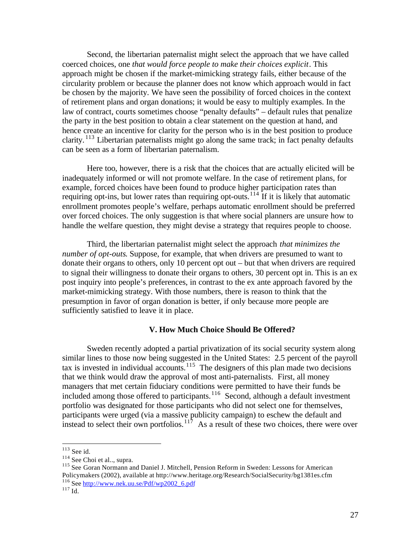Second, the libertarian paternalist might select the approach that we have called coerced choices, one *that would force people to make their choices explicit*. This approach might be chosen if the market-mimicking strategy fails, either because of the circularity problem or because the planner does not know which approach would in fact be chosen by the majority. We have seen the possibility of forced choices in the context of retirement plans and organ donations; it would be easy to multiply examples. In the law of contract, courts sometimes choose "penalty defaults" – default rules that penalize the party in the best position to obtain a clear statement on the question at hand, and hence create an incentive for clarity for the person who is in the best position to produce clarity.  $113$  Libertarian paternalists might go along the same track; in fact penalty defaults can be seen as a form of libertarian paternalism.

Here too, however, there is a risk that the choices that are actually elicited will be inadequately informed or will not promote welfare. In the case of retirement plans, for example, forced choices have been found to produce higher participation rates than requiring opt-ins, but lower rates than requiring opt-outs.<sup>114</sup> If it is likely that automatic enrollment promotes people's welfare, perhaps automatic enrollment should be preferred over forced choices. The only suggestion is that where social planners are unsure how to handle the welfare question, they might devise a strategy that requires people to choose.

Third, the libertarian paternalist might select the approach *that minimizes the number of opt-outs*. Suppose, for example, that when drivers are presumed to want to donate their organs to others, only 10 percent opt out – but that when drivers are required to signal their willingness to donate their organs to others, 30 percent opt in. This is an ex post inquiry into people's preferences, in contrast to the ex ante approach favored by the market-mimicking strategy. With those numbers, there is reason to think that the presumption in favor of organ donation is better, if only because more people are sufficiently satisfied to leave it in place.

# **V. How Much Choice Should Be Offered?**

Sweden recently adopted a partial privatization of its social security system along similar lines to those now being suggested in the United States: 2.5 percent of the payroll tax is invested in individual accounts.<sup>115</sup> The designers of this plan made two decisions that we think would draw the approval of most anti-paternalists. First, all money managers that met certain fiduciary conditions were permitted to have their funds be included among those offered to participants.<sup>116</sup> Second, although a default investment portfolio was designated for those participants who did not select one for themselves, participants were urged (via a massive publicity campaign) to eschew the default and instead to select their own portfolios.<sup>117</sup> As a result of these two choices, there were over

 $113$  See id.

<sup>114</sup> See Choi et al.., supra.

<sup>115</sup> See Goran Normann and Daniel J. Mitchell, Pension Reform in Sweden: Lessons for American Policymakers (2002), available at http://www.heritage.org/Research/SocialSecurity/bg1381es.cfm <sup>116</sup> See http://www.nek.uu.se/Pdf/wp2002\_6.pdf

 $^{117}$  Id.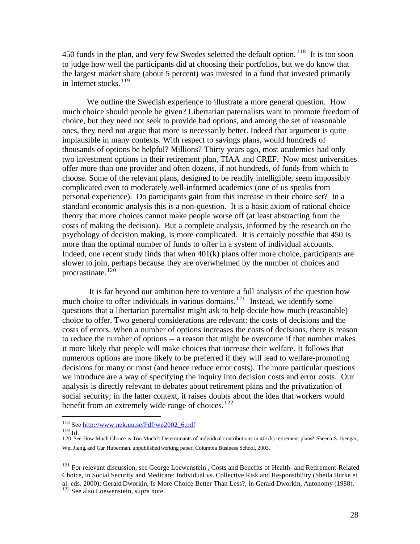450 funds in the plan, and very few Swedes selected the default option. <sup>118</sup> It is too soon to judge how well the participants did at choosing their portfolios, but we do know that the largest market share (about 5 percent) was invested in a fund that invested primarily in Internet stocks. $119$ 

We outline the Swedish experience to illustrate a more general question. How much choice should people be given? Libertarian paternalists want to promote freedom of choice, but they need not seek to provide bad options, and among the set of reasonable ones, they need not argue that more is necessarily better. Indeed that argument is quite implausible in many contexts. With respect to savings plans, would hundreds of thousands of options be helpful? Millions? Thirty years ago, most academics had only two investment options in their retirement plan, TIAA and CREF. Now most universities offer more than one provider and often dozens, if not hundreds, of funds from which to choose. Some of the relevant plans, designed to be readily intelligible, seem impossibly complicated even to moderately well-informed academics (one of us speaks from personal experience). Do participants gain from this increase in their choice set? In a standard economic analysis this is a non-question. It is a basic axiom of rational choice theory that more choices cannot make people worse off (at least abstracting from the costs of making the decision). But a complete analysis, informed by the research on the psychology of decision making, is more complicated. It is certainly *possible* that 450 is more than the optimal number of funds to offer in a system of individual accounts. Indeed, one recent study finds that when 401(k) plans offer more choice, participants are slower to join, perhaps because they are overwhelmed by the number of choices and procrastinate. $120$ 

 It is far beyond our ambition here to venture a full analysis of the question how much choice to offer individuals in various domains.<sup>121</sup> Instead, we identify some questions that a libertarian paternalist might ask to help decide how much (reasonable) choice to offer. Two general considerations are relevant: the costs of decisions and the costs of errors. When a number of options increases the costs of decisions, there is reason to reduce the number of options -- a reason that might be overcome if that number makes it more likely that people will make choices that increase their welfare. It follows that numerous options are more likely to be preferred if they will lead to welfare-promoting decisions for many or most (and hence reduce error costs). The more particular questions we introduce are a way of specifying the inquiry into decision costs and error costs. Our analysis is directly relevant to debates about retirement plans and the privatization of social security; in the latter context, it raises doubts about the idea that workers would benefit from an extremely wide range of choices.<sup>122</sup>

<sup>&</sup>lt;sup>118</sup> See http://www.nek.uu.se/Pdf/wp2002\_6.pdf

 $119$  Id.

<sup>120</sup> See How Much Choice is Too Much?: Determinants of individual contributions in 401(k) retirement plans? Sheena S. Iyengar, Wei Jiang, and Gur Huberman, unpublished working paper, Columbia Business School, 2003.

<sup>&</sup>lt;sup>121</sup> For relevant discussion, see George Loewenstein, Costs and Benefits of Health- and Retirement-Related Choice, in Social Security and Medicare: Individual vs. Collective Risk and Responsibility (Sheila Burke et al. eds. 2000); Gerald Dworkin, Is More Choice Better Than Less?, in Gerald Dworkin, Autonomy (1988). <sup>122</sup> See also Loewenstein, supra note.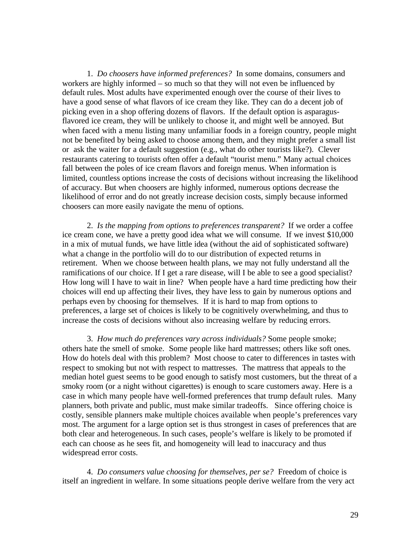1. *Do choosers have informed preferences?* In some domains, consumers and workers are highly informed – so much so that they will not even be influenced by default rules. Most adults have experimented enough over the course of their lives to have a good sense of what flavors of ice cream they like. They can do a decent job of picking even in a shop offering dozens of flavors. If the default option is asparagusflavored ice cream, they will be unlikely to choose it, and might well be annoyed. But when faced with a menu listing many unfamiliar foods in a foreign country, people might not be benefited by being asked to choose among them, and they might prefer a small list or ask the waiter for a default suggestion (e.g., what do other tourists like?). Clever restaurants catering to tourists often offer a default "tourist menu." Many actual choices fall between the poles of ice cream flavors and foreign menus. When information is limited, countless options increase the costs of decisions without increasing the likelihood of accuracy. But when choosers are highly informed, numerous options decrease the likelihood of error and do not greatly increase decision costs, simply because informed choosers can more easily navigate the menu of options.

2. *Is the mapping from options to preferences transparent?* If we order a coffee ice cream cone, we have a pretty good idea what we will consume. If we invest \$10,000 in a mix of mutual funds, we have little idea (without the aid of sophisticated software) what a change in the portfolio will do to our distribution of expected returns in retirement. When we choose between health plans, we may not fully understand all the ramifications of our choice. If I get a rare disease, will I be able to see a good specialist? How long will I have to wait in line? When people have a hard time predicting how their choices will end up affecting their lives, they have less to gain by numerous options and perhaps even by choosing for themselves. If it is hard to map from options to preferences, a large set of choices is likely to be cognitively overwhelming, and thus to increase the costs of decisions without also increasing welfare by reducing errors.

3. *How much do preferences vary across individuals?* Some people smoke; others hate the smell of smoke. Some people like hard mattresses; others like soft ones. How do hotels deal with this problem? Most choose to cater to differences in tastes with respect to smoking but not with respect to mattresses. The mattress that appeals to the median hotel guest seems to be good enough to satisfy most customers, but the threat of a smoky room (or a night without cigarettes) is enough to scare customers away. Here is a case in which many people have well-formed preferences that trump default rules. Many planners, both private and public, must make similar tradeoffs. Since offering choice is costly, sensible planners make multiple choices available when people's preferences vary most. The argument for a large option set is thus strongest in cases of preferences that are both clear and heterogeneous. In such cases, people's welfare is likely to be promoted if each can choose as he sees fit, and homogeneity will lead to inaccuracy and thus widespread error costs.

4. *Do consumers value choosing for themselves, per se?* Freedom of choice is itself an ingredient in welfare. In some situations people derive welfare from the very act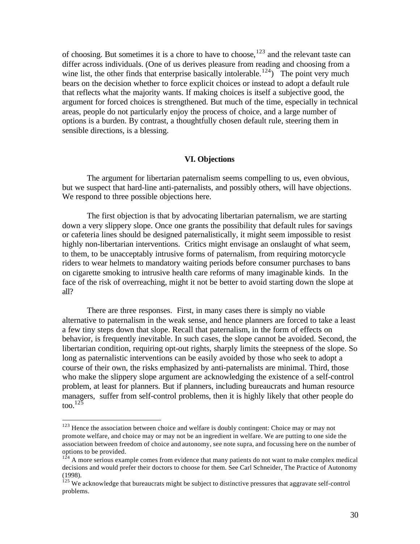of choosing. But sometimes it is a chore to have to choose,  $123$  and the relevant taste can differ across individuals. (One of us derives pleasure from reading and choosing from a wine list, the other finds that enterprise basically intolerable.<sup>124</sup>) The point very much bears on the decision whether to force explicit choices or instead to adopt a default rule that reflects what the majority wants. If making choices is itself a subjective good, the argument for forced choices is strengthened. But much of the time, especially in technical areas, people do not particularly enjoy the process of choice, and a large number of options is a burden. By contrast, a thoughtfully chosen default rule, steering them in sensible directions, is a blessing.

# **VI. Objections**

The argument for libertarian paternalism seems compelling to us, even obvious, but we suspect that hard-line anti-paternalists, and possibly others, will have objections. We respond to three possible objections here.

The first objection is that by advocating libertarian paternalism, we are starting down a very slippery slope. Once one grants the possibility that default rules for savings or cafeteria lines should be designed paternalistically, it might seem impossible to resist highly non-libertarian interventions. Critics might envisage an onslaught of what seem, to them, to be unacceptably intrusive forms of paternalism, from requiring motorcycle riders to wear helmets to mandatory waiting periods before consumer purchases to bans on cigarette smoking to intrusive health care reforms of many imaginable kinds. In the face of the risk of overreaching, might it not be better to avoid starting down the slope at all?

There are three responses. First, in many cases there is simply no viable alternative to paternalism in the weak sense, and hence planners are forced to take a least a few tiny steps down that slope. Recall that paternalism, in the form of effects on behavior, is frequently inevitable. In such cases, the slope cannot be avoided. Second, the libertarian condition, requiring opt-out rights, sharply limits the steepness of the slope. So long as paternalistic interventions can be easily avoided by those who seek to adopt a course of their own, the risks emphasized by anti-paternalists are minimal. Third, those who make the slippery slope argument are acknowledging the existence of a self-control problem, at least for planners. But if planners, including bureaucrats and human resource managers, suffer from self-control problems, then it is highly likely that other people do too. $12\overline{5}$ 

 $123$  Hence the association between choice and welfare is doubly contingent: Choice may or may not promote welfare, and choice may or may not be an ingredient in welfare. We are putting to one side the association between freedom of choice and autonomy, see note supra, and focussing here on the number of options to be provided.

 $1^{24}$  A more serious example comes from evidence that many patients do not want to make complex medical decisions and would prefer their doctors to choose for them. See Carl Schneider, The Practice of Autonomy (1998).

 $125$  We acknowledge that bureaucrats might be subject to distinctive pressures that aggravate self-control problems.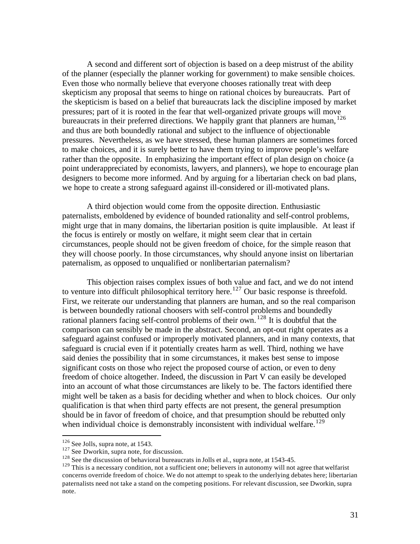A second and different sort of objection is based on a deep mistrust of the ability of the planner (especially the planner working for government) to make sensible choices. Even those who normally believe that everyone chooses rationally treat with deep skepticism any proposal that seems to hinge on rational choices by bureaucrats. Part of the skepticism is based on a belief that bureaucrats lack the discipline imposed by market pressures; part of it is rooted in the fear that well-organized private groups will move bureaucrats in their preferred directions. We happily grant that planners are human, <sup>126</sup> and thus are both boundedly rational and subject to the influence of objectionable pressures. Nevertheless, as we have stressed, these human planners are sometimes forced to make choices, and it is surely better to have them trying to improve people's welfare rather than the opposite. In emphasizing the important effect of plan design on choice (a point underappreciated by economists, lawyers, and planners), we hope to encourage plan designers to become more informed. And by arguing for a libertarian check on bad plans, we hope to create a strong safeguard against ill-considered or ill-motivated plans.

A third objection would come from the opposite direction. Enthusiastic paternalists, emboldened by evidence of bounded rationality and self-control problems, might urge that in many domains, the libertarian position is quite implausible. At least if the focus is entirely or mostly on welfare, it might seem clear that in certain circumstances, people should not be given freedom of choice, for the simple reason that they will choose poorly. In those circumstances, why should anyone insist on libertarian paternalism, as opposed to unqualified or nonlibertarian paternalism?

This objection raises complex issues of both value and fact, and we do not intend to venture into difficult philosophical territory here.<sup>127</sup> Our basic response is threefold. First, we reiterate our understanding that planners are human, and so the real comparison is between boundedly rational choosers with self-control problems and boundedly rational planners facing self-control problems of their own. <sup>128</sup> It is doubtful that the comparison can sensibly be made in the abstract. Second, an opt-out right operates as a safeguard against confused or improperly motivated planners, and in many contexts, that safeguard is crucial even if it potentially creates harm as well. Third, nothing we have said denies the possibility that in some circumstances, it makes best sense to impose significant costs on those who reject the proposed course of action, or even to deny freedom of choice altogether. Indeed, the discussion in Part V can easily be developed into an account of what those circumstances are likely to be. The factors identified there might well be taken as a basis for deciding whether and when to block choices. Our only qualification is that when third party effects are not present, the general presumption should be in favor of freedom of choice, and that presumption should be rebutted only when individual choice is demonstrably inconsistent with individual welfare.<sup>129</sup>

<sup>126</sup> See Jolls, supra note, at 1543.

 $127$  See Dworkin, supra note, for discussion.

<sup>&</sup>lt;sup>128</sup> See the discussion of behavioral bureaucrats in Jolls et al., supra note, at 1543-45.

 $129$  This is a necessary condition, not a sufficient one; believers in autonomy will not agree that welfarist concerns override freedom of choice. We do not attempt to speak to the underlying debates here; libertarian paternalists need not take a stand on the competing positions. For relevant discussion, see Dworkin, supra note.